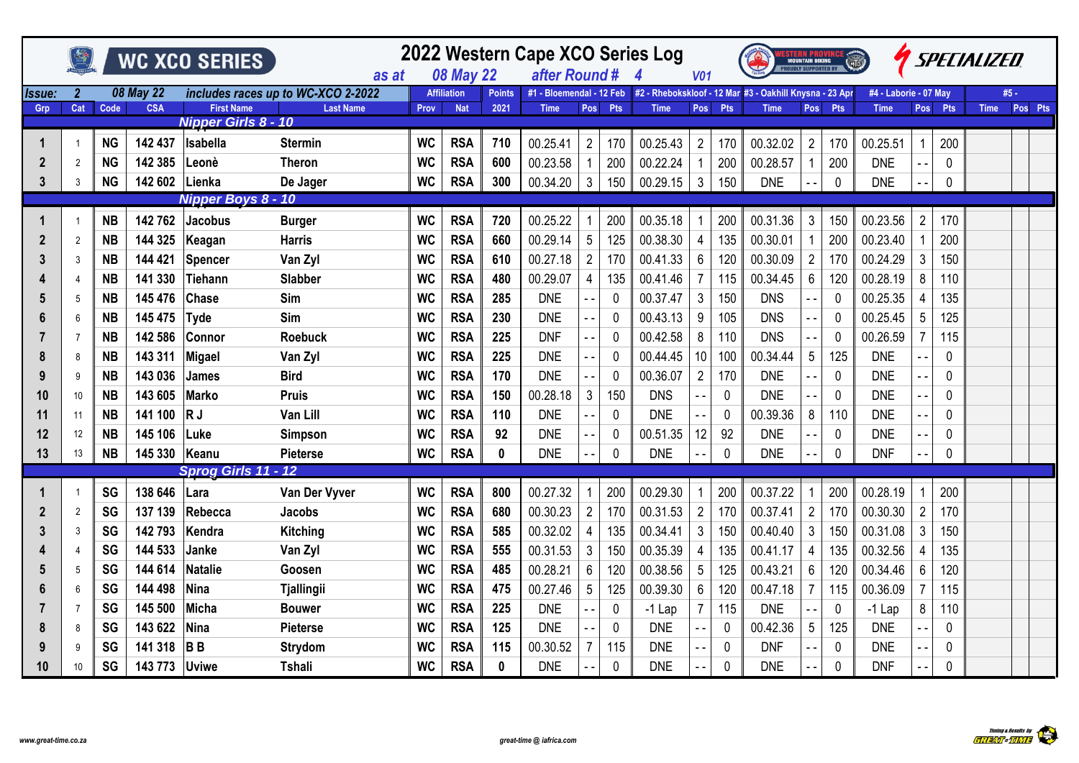|             |                |           |                | WC XCO SERIES )            | as at                              |             | <b>08 May 22</b>   |               | 2022 Western Cape XCO Series Log<br>after Round # 4 |                |             |             | <b>V01</b>       |             |                                                         | <b>MOUNTAIN BIKING</b><br><b>ROUDLY SUPPORTED BY</b> |              |                       |                          |             | <i>SPECIALIZED</i> |         |
|-------------|----------------|-----------|----------------|----------------------------|------------------------------------|-------------|--------------------|---------------|-----------------------------------------------------|----------------|-------------|-------------|------------------|-------------|---------------------------------------------------------|------------------------------------------------------|--------------|-----------------------|--------------------------|-------------|--------------------|---------|
| Issue:      | $\overline{2}$ |           | 08 May 22      |                            | includes races up to WC-XCO 2-2022 |             | <b>Affiliation</b> | <b>Points</b> | #1 - Bloemendal - 12 Feb                            |                |             |             |                  |             | #2 - Rhebokskloof - 12 Mar #3 - Oakhill Knysna - 23 Apr |                                                      |              | #4 - Laborie - 07 May |                          |             | #5 -               |         |
| Grp         | Cat            | Code      | <b>CSA</b>     | <b>First Name</b>          | <b>Last Name</b>                   | <b>Prov</b> | <b>Nat</b>         | 2021          | <b>Time</b>                                         |                | Pos Pts     | <b>Time</b> | Pos              | Pts         | <b>Time</b>                                             | Pos                                                  | Pts          | <b>Time</b>           | <b>Pos</b>               | Pts         | <b>Time</b>        | Pos Pts |
|             |                |           |                | <b>Nipper Girls 8 - 10</b> |                                    |             |                    |               |                                                     |                |             |             |                  |             |                                                         |                                                      |              |                       |                          |             |                    |         |
| 1           |                | <b>NG</b> | 142 437        | Isabella                   | <b>Stermin</b>                     | <b>WC</b>   | <b>RSA</b>         | 710           | 00.25.41                                            | $\overline{2}$ | 170         | 00.25.43    | $\overline{2}$   | 170         | 00.32.02                                                | $\overline{2}$                                       | 170          | 00.25.51              |                          | 200         |                    |         |
| 2           | 2              | <b>NG</b> | 142 385        | Leonè                      | <b>Theron</b>                      | <b>WC</b>   | <b>RSA</b>         | 600           | 00.23.58                                            |                | 200         | 00.22.24    |                  | 200         | 00.28.57                                                | $\overline{1}$                                       | 200          | <b>DNE</b>            |                          | $\mathbf 0$ |                    |         |
| 3           | 3              | <b>NG</b> | 142 602 Lienka |                            | De Jager                           | <b>WC</b>   | <b>RSA</b>         | 300           | 00.34.20                                            | $\mathbf{3}$   | 150         | 00.29.15    | $\mathfrak{Z}$   | 150         | <b>DNE</b>                                              |                                                      | 0            | <b>DNE</b>            |                          | 0           |                    |         |
|             |                |           |                | Nipper Boys 8 - 10         |                                    |             |                    |               |                                                     |                |             |             |                  |             |                                                         |                                                      |              |                       |                          |             |                    |         |
|             |                | <b>NB</b> | 142762         | <b>Jacobus</b>             | <b>Burger</b>                      | <b>WC</b>   | <b>RSA</b>         | 720           | 00.25.22                                            |                | 200         | 00.35.18    |                  | 200         | 00.31.36                                                | $\sqrt{3}$                                           | 150          | 00.23.56              | $\overline{2}$           | 170         |                    |         |
| $\mathbf 2$ | $\overline{2}$ | <b>NB</b> | 144 325        | Keagan                     | <b>Harris</b>                      | <b>WC</b>   | <b>RSA</b>         | 660           | 00.29.14                                            | 5              | 125         | 00.38.30    | $\overline{4}$   | 135         | 00.30.01                                                | -1                                                   | 200          | 00.23.40              |                          | 200         |                    |         |
|             | 3              | <b>NB</b> | 144 421        | Spencer                    | Van Zyl                            | <b>WC</b>   | <b>RSA</b>         | 610           | 00.27.18                                            | $\overline{2}$ | 170         | 00.41.33    | $6\phantom{1}$   | 120         | 00.30.09                                                | $\overline{c}$                                       | 170          | 00.24.29              | 3                        | 150         |                    |         |
|             |                | <b>NB</b> | 141 330        | Tiehann                    | <b>Slabber</b>                     | <b>WC</b>   | <b>RSA</b>         | 480           | 00.29.07                                            | $\overline{4}$ | 135         | 00.41.46    | $\overline{7}$   | 115         | 00.34.45                                                | $\,6\,$                                              | 120          | 00.28.19              | 8                        | 110         |                    |         |
|             | 5              | <b>NB</b> | 145 476        | <b>Chase</b>               | Sim                                | <b>WC</b>   | <b>RSA</b>         | 285           | <b>DNE</b>                                          |                | $\mathbf 0$ | 00.37.47    | $\mathbf{3}$     | 150         | <b>DNS</b>                                              | $ -$                                                 | $\mathbf 0$  | 00.25.35              | 4                        | 135         |                    |         |
|             | 6              | <b>NB</b> | 145 475        | Tyde                       | Sim                                | <b>WC</b>   | <b>RSA</b>         | 230           | <b>DNE</b>                                          |                | $\mathbf 0$ | 00.43.13    | $\boldsymbol{9}$ | 105         | <b>DNS</b>                                              | $\overline{a}$                                       | $\mathbf 0$  | 00.25.45              | 5                        | 125         |                    |         |
|             |                | <b>NB</b> | 142 586        | Connor                     | <b>Roebuck</b>                     | <b>WC</b>   | <b>RSA</b>         | 225           | <b>DNF</b>                                          | $\overline{a}$ | 0           | 00.42.58    | 8                | 110         | <b>DNS</b>                                              | $ -$                                                 | $\mathbf{0}$ | 00.26.59              | $\overline{7}$           | 115         |                    |         |
|             | 8              | <b>NB</b> | 143 311        | Migael                     | Van Zyl                            | <b>WC</b>   | <b>RSA</b>         | 225           | <b>DNE</b>                                          |                | $\mathbf 0$ | 00.44.45    | 10               | 100         | 00.34.44                                                | $\overline{5}$                                       | 125          | <b>DNE</b>            |                          | $\mathbf 0$ |                    |         |
|             | 9              | <b>NB</b> | 143 036        | James                      | <b>Bird</b>                        | <b>WC</b>   | <b>RSA</b>         | 170           | <b>DNE</b>                                          |                | $\mathbf 0$ | 00.36.07    | $\sqrt{2}$       | 170         | <b>DNE</b>                                              |                                                      | 0            | <b>DNE</b>            |                          | 0           |                    |         |
| 10          | 10             | <b>NB</b> | 143 605        | Marko                      | <b>Pruis</b>                       | <b>WC</b>   | <b>RSA</b>         | 150           | 00.28.18                                            | $\mathbf{3}$   | 150         | <b>DNS</b>  |                  | $\mathbf 0$ | <b>DNE</b>                                              |                                                      | 0            | <b>DNE</b>            | $\ddotsc$                | $\mathbf 0$ |                    |         |
| 11          | 11             | <b>NB</b> | 141 100        | R J                        | Van Lill                           | <b>WC</b>   | <b>RSA</b>         | 110           | <b>DNE</b>                                          |                | 0           | <b>DNE</b>  | $ -$             | 0           | 00.39.36                                                | 8                                                    | 110          | <b>DNE</b>            | $\overline{a}$           | 0           |                    |         |
| 12          | 12             | <b>NB</b> | 145 106        | Luke                       | <b>Simpson</b>                     | <b>WC</b>   | <b>RSA</b>         | 92            | <b>DNE</b>                                          |                | 0           | 00.51.35    | 12               | 92          | <b>DNE</b>                                              |                                                      | 0            | <b>DNE</b>            | $\ddotsc$                | 0           |                    |         |
| 13          | 13             | <b>NB</b> | 145 330 Keanu  |                            | <b>Pieterse</b>                    | <b>WC</b>   | <b>RSA</b>         | $\mathbf 0$   | <b>DNE</b>                                          |                | $\mathbf 0$ | <b>DNE</b>  |                  | $\mathbf 0$ | <b>DNE</b>                                              |                                                      | 0            | <b>DNF</b>            |                          | $\mathbf 0$ |                    |         |
|             |                |           |                | Sprog Girls 11 - 12        |                                    |             |                    |               |                                                     |                |             |             |                  |             |                                                         |                                                      |              |                       |                          |             |                    |         |
|             |                | SG        | 138 646        | Lara                       | Van Der Vyver                      | <b>WC</b>   | <b>RSA</b>         | 800           | 00.27.32                                            |                | 200         | 00.29.30    |                  | 200         | 00.37.22                                                | $\overline{1}$                                       | 200          | 00.28.19              |                          | 200         |                    |         |
| 2           | $\overline{2}$ | <b>SG</b> | 137 139        | Rebecca                    | <b>Jacobs</b>                      | <b>WC</b>   | <b>RSA</b>         | 680           | 00.30.23                                            | $\overline{2}$ | 170         | 00.31.53    | $\overline{2}$   | 170         | 00.37.41                                                | $\overline{2}$                                       | 170          | 00.30.30              | $\overline{2}$           | 170         |                    |         |
|             | 3              | SG        | 142 793        | Kendra                     | Kitching                           | <b>WC</b>   | <b>RSA</b>         | 585           | 00.32.02                                            | $\overline{4}$ | 135         | 00.34.41    | 3                | 150         | 00.40.40                                                | 3                                                    | 150          | 00.31.08              | 3                        | 150         |                    |         |
|             | 4              | <b>SG</b> | 144 533        | Janke                      | Van Zyl                            | <b>WC</b>   | <b>RSA</b>         | 555           | 00.31.53                                            | $\mathbf{3}$   | 150         | 00.35.39    | 4                | 135         | 00.41.17                                                | 4                                                    | 135          | 00.32.56              | 4                        | 135         |                    |         |
|             | 5              | SG        | 144 614        | <b>Natalie</b>             | Goosen                             | <b>WC</b>   | <b>RSA</b>         | 485           | 00.28.21                                            | 6              | 120         | 00.38.56    | $\overline{5}$   | 125         | 00.43.21                                                | $6\phantom{1}6$                                      | 120          | 00.34.46              | $6\phantom{1}6$          | 120         |                    |         |
|             | 6              | SG        | 144 498        | Nina                       | <b>Tjallingii</b>                  | <b>WC</b>   | <b>RSA</b>         | 475           | 00.27.46                                            | 5              | 125         | 00.39.30    | $6\,$            | 120         | 00.47.18                                                | $\overline{7}$                                       | 115          | 00.36.09              |                          | 115         |                    |         |
|             |                | SG        | 145 500        | <b>Micha</b>               | <b>Bouwer</b>                      | <b>WC</b>   | <b>RSA</b>         | 225           | <b>DNE</b>                                          |                | $\mathbf 0$ | $-1$ Lap    | $\overline{7}$   | 115         | <b>DNE</b>                                              |                                                      | $\mathbf 0$  | $-1$ Lap              | 8                        | 110         |                    |         |
| 8           | 8              | SG        | 143 622        | Nina                       | <b>Pieterse</b>                    | <b>WC</b>   | <b>RSA</b>         | 125           | <b>DNE</b>                                          |                | $\mathbf 0$ | <b>DNE</b>  | $ -$             | 0           | 00.42.36                                                | 5                                                    | 125          | <b>DNE</b>            | $\overline{\phantom{a}}$ | $\mathbf 0$ |                    |         |
|             | 9              | <b>SG</b> | 141 318        | B B                        | <b>Strydom</b>                     | <b>WC</b>   | <b>RSA</b>         | 115           | 00.30.52                                            | $\overline{7}$ | 115         | <b>DNE</b>  | $ -$             | $\mathbf 0$ | <b>DNF</b>                                              |                                                      | 0            | <b>DNE</b>            | $ -$                     | 0           |                    |         |
| 10          | 10             | SG        | 143 773 Uviwe  |                            | Tshali                             | <b>WC</b>   | <b>RSA</b>         | $\mathbf 0$   | <b>DNE</b>                                          |                | 0           | <b>DNE</b>  |                  | 0           | <b>DNE</b>                                              |                                                      | 0            | <b>DNF</b>            |                          | $\pmb{0}$   |                    |         |

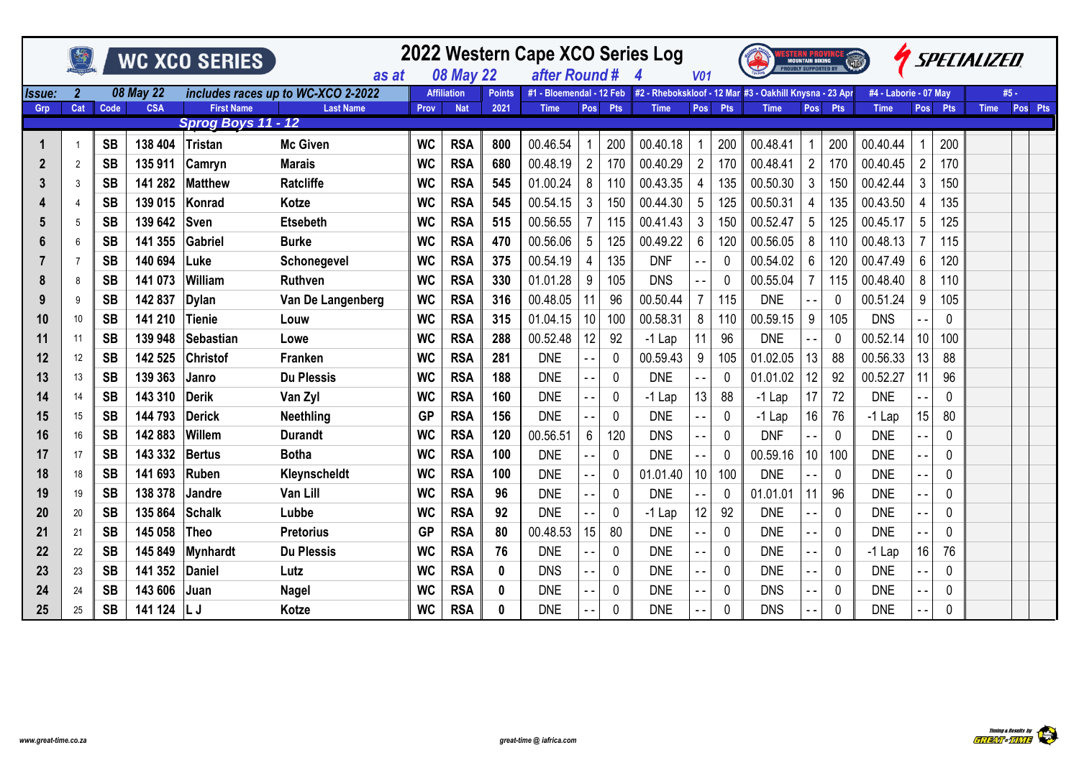|                  |                |           |            | <b>WC XCO SERIES</b> |                                    |           |                    |               | 2022 Western Cape XCO Series Log |                          |             |                |                 |     | <b>PROUDLY SUPPORTED BY</b>                                                      | <b>MOUNTAIN BIKING</b> |             | <b>AND</b>            |                 |              | <i>SPECIALIZED</i> |         |
|------------------|----------------|-----------|------------|----------------------|------------------------------------|-----------|--------------------|---------------|----------------------------------|--------------------------|-------------|----------------|-----------------|-----|----------------------------------------------------------------------------------|------------------------|-------------|-----------------------|-----------------|--------------|--------------------|---------|
|                  |                |           |            |                      | as at                              |           | <b>08 May 22</b>   |               | after Round #                    |                          |             | $\overline{4}$ | <b>V01</b>      |     |                                                                                  |                        |             |                       |                 |              |                    |         |
| Issue:           | $\overline{2}$ |           | 08 May 22  |                      | includes races up to WC-XCO 2-2022 |           | <b>Affiliation</b> | <b>Points</b> |                                  |                          |             |                |                 |     | #1 - Bloemendal - 12 Feb #2 - Rhebokskloof - 12 Mar #3 - Oakhill Knysna - 23 Apr |                        |             | #4 - Laborie - 07 May |                 |              | #5 -               |         |
| Grp              | Cat            | Code      | <b>CSA</b> | <b>First Name</b>    | <b>Last Name</b>                   | Prov      | <b>Nat</b>         | 2021          | <b>Time</b>                      | Pos                      | Pts         | <b>Time</b>    | Pos             | Pts | <b>Time</b>                                                                      | <b>Pos</b>             | <b>Pts</b>  | <b>Time</b>           | Pos             | Pts          | <b>Time</b>        | Pos Pts |
|                  |                |           |            | Sprog Boys 11 - 12   |                                    |           |                    |               |                                  |                          |             |                |                 |     |                                                                                  |                        |             |                       |                 |              |                    |         |
| 1                |                | <b>SB</b> | 138 404    | <b>Tristan</b>       | <b>Mc Given</b>                    | <b>WC</b> | <b>RSA</b>         | 800           | 00.46.54                         |                          | 200         | 00.40.18       | $\mathbf{1}$    | 200 | 00.48.41                                                                         |                        | 200         | 00.40.44              |                 | 200          |                    |         |
| $\boldsymbol{2}$ | $\overline{2}$ | <b>SB</b> | 135 911    | Camryn               | <b>Marais</b>                      | <b>WC</b> | <b>RSA</b>         | 680           | 00.48.19                         | $\overline{2}$           | 170         | 00.40.29       | $\overline{c}$  | 170 | 00.48.41                                                                         | $\overline{2}$         | 170         | 00.40.45              | $\overline{2}$  | 170          |                    |         |
| 3                | 3              | <b>SB</b> | 141 282    | <b>Matthew</b>       | <b>Ratcliffe</b>                   | <b>WC</b> | <b>RSA</b>         | 545           | 01.00.24                         | 8                        | 110         | 00.43.35       | 4               | 135 | 00.50.30                                                                         | 3 <sup>1</sup>         | 150         | 00.42.44              | $\mathfrak{Z}$  | 150          |                    |         |
|                  |                | <b>SB</b> | 139 015    | <b>Konrad</b>        | Kotze                              | <b>WC</b> | <b>RSA</b>         | 545           | 00.54.15                         | 3                        | 150         | 00.44.30       | $5\phantom{.0}$ | 125 | 00.50.31                                                                         | $\overline{4}$         | 135         | 00.43.50              | 4               | 135          |                    |         |
| 5                | 5              | <b>SB</b> | 139 642    | <b>Sven</b>          | <b>Etsebeth</b>                    | <b>WC</b> | <b>RSA</b>         | 515           | 00.56.55                         | $\overline{7}$           | 115         | 00.41.43       | 3               | 150 | 00.52.47                                                                         | 5                      | 125         | 00.45.17              | $5\phantom{.0}$ | 125          |                    |         |
| 6                | 6              | <b>SB</b> | 141 355    | <b>Gabriel</b>       | <b>Burke</b>                       | <b>WC</b> | <b>RSA</b>         | 470           | 00.56.06                         | 5                        | 125         | 00.49.22       | 6               | 120 | 00.56.05                                                                         | 8                      | 110         | 00.48.13              | $\overline{7}$  | 115          |                    |         |
|                  |                | <b>SB</b> | 140 694    | Luke                 | Schonegevel                        | <b>WC</b> | <b>RSA</b>         | 375           | 00.54.19                         | 4                        | 135         | <b>DNF</b>     |                 | 0   | 00.54.02                                                                         | 6                      | 120         | 00.47.49              | 6               | 120          |                    |         |
| 8                | 8              | <b>SB</b> | 141 073    | William              | <b>Ruthven</b>                     | <b>WC</b> | <b>RSA</b>         | 330           | 01.01.28                         | 9                        | 105         | <b>DNS</b>     |                 | 0   | 00.55.04                                                                         |                        | 115         | 00.48.40              | 8               | 110          |                    |         |
| 9                | 9              | <b>SB</b> | 142 837    | <b>Dylan</b>         | Van De Langenberg                  | <b>WC</b> | <b>RSA</b>         | 316           | 00.48.05                         | 11                       | 96          | 00.50.44       | $\overline{7}$  | 115 | <b>DNE</b>                                                                       |                        | $\mathbf 0$ | 00.51.24              | 9               | 105          |                    |         |
| 10               | 10             | <b>SB</b> | 141 210    | <b>Tienie</b>        | Louw                               | <b>WC</b> | <b>RSA</b>         | 315           | 01.04.15                         | 10                       | 100         | 00.58.31       | 8               | 110 | 00.59.15                                                                         | 9                      | 105         | <b>DNS</b>            |                 | 0            |                    |         |
| 11               | 11             | <b>SB</b> | 139 948    | <b>Sebastian</b>     | Lowe                               | <b>WC</b> | <b>RSA</b>         | 288           | 00.52.48                         | 12                       | 92          | $-1$ Lap       | 11              | 96  | <b>DNE</b>                                                                       |                        | 0           | 00.52.14              | 10              | 100          |                    |         |
| 12               | 12             | <b>SB</b> | 142 525    | <b>Christof</b>      | Franken                            | <b>WC</b> | <b>RSA</b>         | 281           | <b>DNE</b>                       |                          | 0           | 00.59.43       | 9               | 105 | 01.02.05                                                                         | 13                     | 88          | 00.56.33              | 13              | 88           |                    |         |
| 13               | 13             | <b>SB</b> | 139 363    | Janro                | <b>Du Plessis</b>                  | <b>WC</b> | <b>RSA</b>         | 188           | <b>DNE</b>                       | $ -$                     | $\mathbf 0$ | <b>DNE</b>     |                 | 0   | 01.01.02                                                                         | 12                     | 92          | 00.52.27              | 11              | 96           |                    |         |
| 14               | 14             | <b>SB</b> | 143 310    | <b>Derik</b>         | Van Zyl                            | <b>WC</b> | <b>RSA</b>         | 160           | <b>DNE</b>                       | $ -$                     | 0           | $-1$ Lap       | 13              | 88  | $-1$ Lap                                                                         | 17                     | 72          | <b>DNE</b>            |                 | $\mathbf{0}$ |                    |         |
| 15               | 15             | <b>SB</b> | 144 793    | <b>Derick</b>        | Neethling                          | <b>GP</b> | <b>RSA</b>         | 156           | <b>DNE</b>                       |                          | $\mathbf 0$ | <b>DNE</b>     |                 | 0   | $-1$ Lap                                                                         | 16                     | 76          | $-1$ Lap              | 15              | 80           |                    |         |
| 16               | 16             | <b>SB</b> | 142 883    | Willem               | <b>Durandt</b>                     | <b>WC</b> | <b>RSA</b>         | 120           | 00.56.51                         | 6                        | 120         | <b>DNS</b>     |                 | 0   | <b>DNF</b>                                                                       |                        | $\mathbf 0$ | <b>DNE</b>            |                 | 0            |                    |         |
| 17               | 17             | <b>SB</b> | 143 332    | <b>Bertus</b>        | <b>Botha</b>                       | <b>WC</b> | <b>RSA</b>         | 100           | <b>DNE</b>                       |                          | $\mathbf 0$ | <b>DNE</b>     |                 | 0   | 00.59.16                                                                         | 10 <sup>1</sup>        | 100         | <b>DNE</b>            |                 | $\Omega$     |                    |         |
| 18               | 18             | <b>SB</b> | 141 693    | <b>Ruben</b>         | Kleynscheldt                       | <b>WC</b> | <b>RSA</b>         | 100           | <b>DNE</b>                       | $\overline{\phantom{a}}$ | $\mathbf 0$ | 01.01.40       | 10              | 100 | <b>DNE</b>                                                                       |                        | $\mathbf 0$ | <b>DNE</b>            | $ -$            | 0            |                    |         |
| 19               | 19             | <b>SB</b> | 138 378    | Jandre               | Van Lill                           | <b>WC</b> | <b>RSA</b>         | 96            | <b>DNE</b>                       | $ -$                     | $\mathbf 0$ | <b>DNE</b>     |                 | 0   | 01.01.01                                                                         | 11                     | 96          | <b>DNE</b>            |                 | 0            |                    |         |
| 20               | 20             | <b>SB</b> | 135 864    | <b>Schalk</b>        | Lubbe                              | <b>WC</b> | <b>RSA</b>         | 92            | <b>DNE</b>                       |                          | $\mathbf 0$ | $-1$ Lap       | 12              | 92  | <b>DNE</b>                                                                       | $\sim$ $-$             | 0           | <b>DNE</b>            | - -             | 0            |                    |         |
| 21               | 21             | <b>SB</b> | 145 058    | <b>Theo</b>          | <b>Pretorius</b>                   | <b>GP</b> | <b>RSA</b>         | 80            | 00.48.53                         | 15                       | 80          | <b>DNE</b>     | $ -$            | 0   | <b>DNE</b>                                                                       | $ -$                   | $\mathbf 0$ | <b>DNE</b>            |                 | 0            |                    |         |
| 22               | 22             | <b>SB</b> | 145 849    | <b>Mynhardt</b>      | <b>Du Plessis</b>                  | <b>WC</b> | <b>RSA</b>         | 76            | <b>DNE</b>                       |                          | $\pmb{0}$   | <b>DNE</b>     | - -             | 0   | <b>DNE</b>                                                                       | $\sim$ $-$             | $\mathbf 0$ | $-1$ Lap              | 16              | 76           |                    |         |
| 23               | 23             | <b>SB</b> | 141 352    | <b>Daniel</b>        | Lutz                               | <b>WC</b> | <b>RSA</b>         | $\mathbf 0$   | <b>DNS</b>                       | $-$                      | $\mathbf 0$ | <b>DNE</b>     | $ -$            | 0   | <b>DNE</b>                                                                       | $\overline{a}$         | 0           | <b>DNE</b>            |                 | 0            |                    |         |
| 24               | 24             | <b>SB</b> | 143 606    | Juan                 | <b>Nagel</b>                       | <b>WC</b> | <b>RSA</b>         | $\mathbf{0}$  | <b>DNE</b>                       |                          | $\pmb{0}$   | <b>DNE</b>     |                 | 0   | <b>DNS</b>                                                                       | $ -$                   | 0           | <b>DNE</b>            |                 | 0            |                    |         |
| 25               | 25             | <b>SB</b> | 141 124 LJ |                      | Kotze                              | <b>WC</b> | <b>RSA</b>         | $\mathbf{0}$  | <b>DNE</b>                       |                          | $\mathbf 0$ | <b>DNE</b>     |                 | 0   | <b>DNS</b>                                                                       |                        | 0           | <b>DNE</b>            |                 | 0            |                    |         |

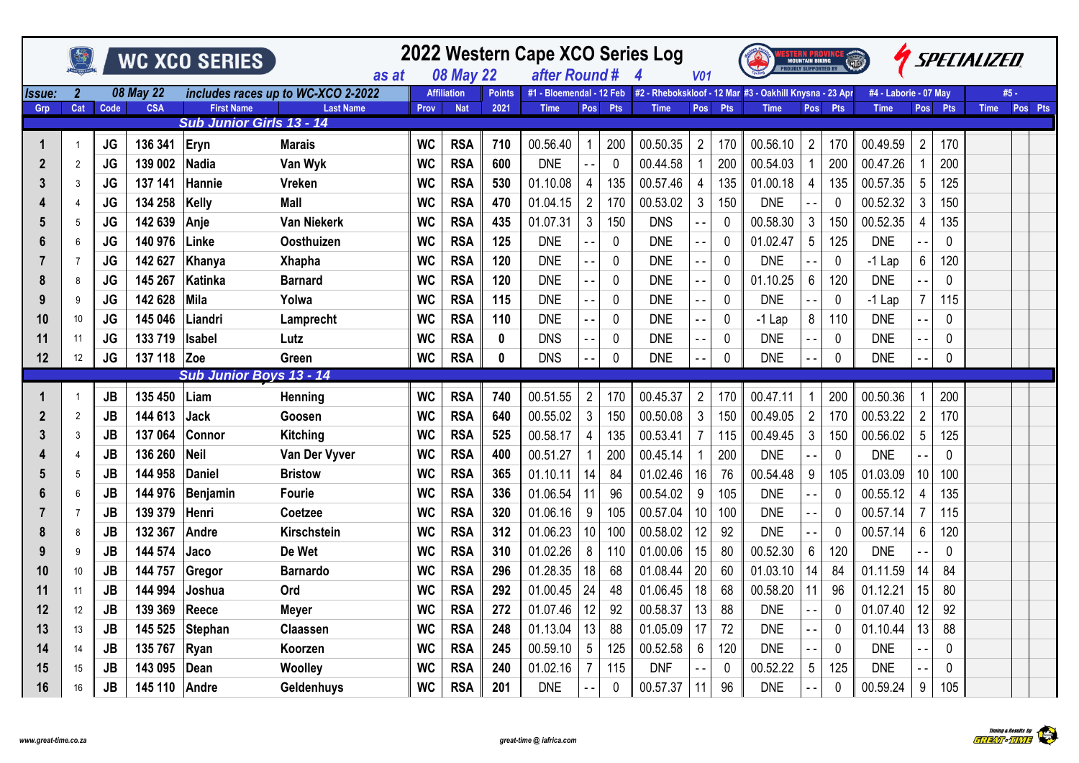|                  |                  |           |             | <b>WC XCO SERIES</b>                                 | as at                              |           | <b>08 May 22</b>   |               | 2022 Western Cape XCO Series Log<br>after Round # |                |             | $\boldsymbol{\Lambda}$ | <b>V01</b>     |              | <b>PROUDLY SUPPORTED BY</b>                                                        | <b>MOUNTAIN BIKING</b> |             | $\overline{\mathcal{M}}$ |                |     | <b><i>ISPECIALIZED</i></b> |         |
|------------------|------------------|-----------|-------------|------------------------------------------------------|------------------------------------|-----------|--------------------|---------------|---------------------------------------------------|----------------|-------------|------------------------|----------------|--------------|------------------------------------------------------------------------------------|------------------------|-------------|--------------------------|----------------|-----|----------------------------|---------|
| Issue:           | $\boldsymbol{2}$ |           | 08 May 22   |                                                      | includes races up to WC-XCO 2-2022 |           | <b>Affiliation</b> | <b>Points</b> |                                                   |                |             |                        |                |              | #1 - Bloemendal - 12 Feb   #2 - Rhebokskloof - 12 Mar #3 - Oakhill Knysna - 23 Apr |                        |             | #4 - Laborie - 07 May    |                |     | #5 -                       |         |
| Grp              | Cat              | Code      | <b>CSA</b>  | <b>First Name</b><br><b>Sub Junior Girls 13 - 14</b> | <b>Last Name</b>                   | Prov      | <b>Nat</b>         | 2021          | <b>Time</b>                                       | Pos            | <b>Pts</b>  | <b>Time</b>            | Pos            | <b>Pts</b>   | <b>Time</b>                                                                        | Pos                    | Pts         | <b>Time</b>              | Pos            | Pts | <b>Time</b>                | Pos Pts |
|                  |                  |           |             |                                                      |                                    |           |                    |               |                                                   |                |             |                        |                |              |                                                                                    |                        |             |                          |                |     |                            |         |
| 1                |                  | JG        | 136 341     | Eryn                                                 | <b>Marais</b>                      | <b>WC</b> | <b>RSA</b>         | 710           | 00.56.40                                          |                | 200         | 00.50.35               | $\overline{2}$ | 170          | 00.56.10                                                                           | $\overline{2}$         | 170         | 00.49.59                 | $\overline{2}$ | 170 |                            |         |
| $\boldsymbol{2}$ | $\overline{2}$   | JG        | 139 002     | Nadia                                                | Van Wyk                            | <b>WC</b> | <b>RSA</b>         | 600           | <b>DNE</b>                                        |                | $\Omega$    | 00.44.58               |                | 200          | 00.54.03                                                                           |                        | 200         | 00.47.26                 |                | 200 |                            |         |
| 3                | 3                | <b>JG</b> | 137 141     | Hannie                                               | <b>Vreken</b>                      | <b>WC</b> | <b>RSA</b>         | 530           | 01.10.08                                          | $\overline{4}$ | 135         | 00.57.46               | $\overline{4}$ | 135          | 01.00.18                                                                           | 4                      | 135         | 00.57.35                 | 5              | 125 |                            |         |
| 4                | $\overline{4}$   | <b>JG</b> | 134 258     | Kelly                                                | <b>Mall</b>                        | <b>WC</b> | <b>RSA</b>         | 470           | 01.04.15                                          | $\overline{2}$ | 170         | 00.53.02               | $\mathfrak{Z}$ | 150          | <b>DNE</b>                                                                         |                        | $\mathbf 0$ | 00.52.32                 | 3              | 150 |                            |         |
| 5                | 5                | <b>JG</b> | 142 639     | Anje                                                 | <b>Van Niekerk</b>                 | <b>WC</b> | <b>RSA</b>         | 435           | 01.07.31                                          | 3              | 150         | <b>DNS</b>             |                | $\mathbf{0}$ | 00.58.30                                                                           | 3                      | 150         | 00.52.35                 | 4              | 135 |                            |         |
| 6                | 6                | JG        | 140 976     | Linke                                                | Oosthuizen                         | <b>WC</b> | <b>RSA</b>         | 125           | <b>DNE</b>                                        |                | 0           | <b>DNE</b>             |                | 0            | 01.02.47                                                                           | 5                      | 125         | <b>DNE</b>               |                | 0   |                            |         |
|                  | $\overline{7}$   | JG        | 142 627     | Khanya                                               | <b>Xhapha</b>                      | <b>WC</b> | <b>RSA</b>         | 120           | <b>DNE</b>                                        | $\overline{a}$ | 0           | <b>DNE</b>             | - -            | 0            | <b>DNE</b>                                                                         |                        | $\mathbf 0$ | $-1$ Lap                 | 6              | 120 |                            |         |
| 8                | 8                | <b>JG</b> | 145 267     | Katinka                                              | <b>Barnard</b>                     | <b>WC</b> | <b>RSA</b>         | 120           | <b>DNE</b>                                        | $ -$           | 0           | <b>DNE</b>             |                | $\mathbf 0$  | 01.10.25                                                                           | 6                      | 120         | <b>DNE</b>               |                | 0   |                            |         |
| 9                | 9                | <b>JG</b> | 142 628     | <b>Mila</b>                                          | Yolwa                              | <b>WC</b> | <b>RSA</b>         | 115           | <b>DNE</b>                                        |                | $\mathbf 0$ | <b>DNE</b>             |                | $\mathbf 0$  | <b>DNE</b>                                                                         |                        | $\mathbf 0$ | $-1$ Lap                 | $\overline{7}$ | 115 |                            |         |
| 10               | 10               | <b>JG</b> | 145 046     | Liandri                                              | Lamprecht                          | <b>WC</b> | <b>RSA</b>         | 110           | <b>DNE</b>                                        | $ -$           | 0           | <b>DNE</b>             |                | $\mathbf 0$  | $-1$ Lap                                                                           | 8                      | 110         | <b>DNE</b>               |                | 0   |                            |         |
| 11               | 11               | <b>JG</b> | 133 719     | <b>Isabel</b>                                        | Lutz                               | <b>WC</b> | <b>RSA</b>         | 0             | <b>DNS</b>                                        |                | 0           | <b>DNE</b>             |                | 0            | <b>DNE</b>                                                                         |                        | $\mathbf 0$ | <b>DNE</b>               |                | 0   |                            |         |
| 12               | 12               | <b>JG</b> | 137 118 Zoe |                                                      | Green                              | <b>WC</b> | <b>RSA</b>         | 0             | <b>DNS</b>                                        |                | 0           | <b>DNE</b>             |                | $\mathbf 0$  | <b>DNE</b>                                                                         |                        | $\mathbf 0$ | <b>DNE</b>               |                | 0   |                            |         |
|                  |                  |           |             | Sub Junior Boys 13 - 14                              |                                    |           |                    |               |                                                   |                |             |                        |                |              |                                                                                    |                        |             |                          |                |     |                            |         |
| 1                |                  | JB        | 135 450     | Liam                                                 | Henning                            | <b>WC</b> | <b>RSA</b>         | 740           | 00.51.55                                          | $\overline{2}$ | 170         | 00.45.37               | $\overline{2}$ | 170          | 00.47.11                                                                           |                        | 200         | 00.50.36                 | 1              | 200 |                            |         |
| $\boldsymbol{2}$ | $\overline{2}$   | JB        | 144 613     | <b>Jack</b>                                          | Goosen                             | <b>WC</b> | <b>RSA</b>         | 640           | 00.55.02                                          | 3              | 150         | 00.50.08               | $\mathfrak{Z}$ | 150          | 00.49.05                                                                           | $\overline{2}$         | 170         | 00.53.22                 | $\overline{2}$ | 170 |                            |         |
| $\mathbf{3}$     | 3                | <b>JB</b> | 137 064     | Connor                                               | <b>Kitching</b>                    | <b>WC</b> | <b>RSA</b>         | 525           | 00.58.17                                          | $\overline{4}$ | 135         | 00.53.41               | $\overline{7}$ | 115          | 00.49.45                                                                           | 3                      | 150         | 00.56.02                 | 5              | 125 |                            |         |
|                  |                  | <b>JB</b> | 136 260     | <b>Neil</b>                                          | Van Der Vyver                      | <b>WC</b> | <b>RSA</b>         | 400           | 00.51.27                                          |                | 200         | 00.45.14               |                | 200          | <b>DNE</b>                                                                         |                        | 0           | <b>DNE</b>               |                | 0   |                            |         |
| 5                | 5                | JB        | 144 958     | Daniel                                               | <b>Bristow</b>                     | <b>WC</b> | <b>RSA</b>         | 365           | 01.10.11                                          | 14             | 84          | 01.02.46               | 16             | 76           | 00.54.48                                                                           | 9                      | 105         | 01.03.09                 | 10             | 100 |                            |         |
| 6                | 6                | JB        | 144 976     | Benjamin                                             | Fourie                             | <b>WC</b> | <b>RSA</b>         | 336           | 01.06.54                                          | 11             | 96          | 00.54.02               | 9              | 105          | <b>DNE</b>                                                                         |                        | 0           | 00.55.12                 | 4              | 135 |                            |         |
| $\overline{7}$   |                  | JB        | 139 379     | Henri                                                | Coetzee                            | <b>WC</b> | <b>RSA</b>         | 320           | 01.06.16                                          | 9              | 105         | 00.57.04               | 10             | 100          | <b>DNE</b>                                                                         |                        | 0           | 00.57.14                 |                | 115 |                            |         |
| 8                | 8                | JB        | 132 367     | Andre                                                | Kirschstein                        | <b>WC</b> | <b>RSA</b>         | 312           | 01.06.23                                          | 10             | 100         | 00.58.02               | 12             | 92           | <b>DNE</b>                                                                         |                        | 0           | 00.57.14                 | 6              | 120 |                            |         |
| 9                | 9                | JB        | 144 574     | Jaco                                                 | De Wet                             | <b>WC</b> | <b>RSA</b>         | 310           | 01.02.26                                          | 8              | 110         | 01.00.06               | 15             | 80           | 00.52.30                                                                           | 6                      | 120         | <b>DNE</b>               |                | 0   |                            |         |
| 10               | 10               | JB        | 144 757     | Gregor                                               | <b>Barnardo</b>                    | <b>WC</b> | <b>RSA</b>         | 296           | 01.28.35                                          | 18             | 68          | 01.08.44               | 20             | 60           | 01.03.10                                                                           | 14                     | 84          | 01.11.59                 | 14             | 84  |                            |         |
| 11               | 11               | <b>JB</b> | 144 994     | Joshua                                               | Ord                                | <b>WC</b> | <b>RSA</b>         | 292           | 01.00.45                                          | 24             | 48          | 01.06.45               | 18             | 68           | 00.58.20                                                                           | 11                     | 96          | 01.12.21                 | 15             | 80  |                            |         |
| 12               | 12               | JB        | 139 369     | Reece                                                | <b>Meyer</b>                       | <b>WC</b> | <b>RSA</b>         | 272           | 01.07.46                                          | 12             | 92          | 00.58.37               | 13             | 88           | <b>DNE</b>                                                                         |                        | 0           | 01.07.40                 | 12             | 92  |                            |         |
| 13               | 13               | JB        | 145 525     | Stephan                                              | <b>Claassen</b>                    | <b>WC</b> | <b>RSA</b>         | 248           | 01.13.04                                          | 13             | 88          | 01.05.09               | 17             | 72           | <b>DNE</b>                                                                         |                        | 0           | 01.10.44                 | 13             | 88  |                            |         |
| 14               | 14               | JB        | 135 767     | Ryan                                                 | Koorzen                            | <b>WC</b> | <b>RSA</b>         | 245           | 00.59.10                                          | 5              | 125         | 00.52.58               | $6\phantom{.}$ | 120          | <b>DNE</b>                                                                         |                        | 0           | <b>DNE</b>               |                | 0   |                            |         |
| 15               | 15               | <b>JB</b> | 143 095     | Dean                                                 | Woolley                            | <b>WC</b> | <b>RSA</b>         | 240           | 01.02.16                                          | $\overline{7}$ | 115         | <b>DNF</b>             |                | $\mathbf 0$  | 00.52.22                                                                           | 5                      | 125         | <b>DNE</b>               |                | 0   |                            |         |
| 16               | 16               | <b>JB</b> | 145 110     | Andre                                                | Geldenhuys                         | <b>WC</b> | <b>RSA</b>         | 201           | <b>DNE</b>                                        |                | $\mathbf 0$ | 00.57.37               | 11             | 96           | <b>DNE</b>                                                                         |                        | 0           | 00.59.24                 | 9              | 105 |                            |         |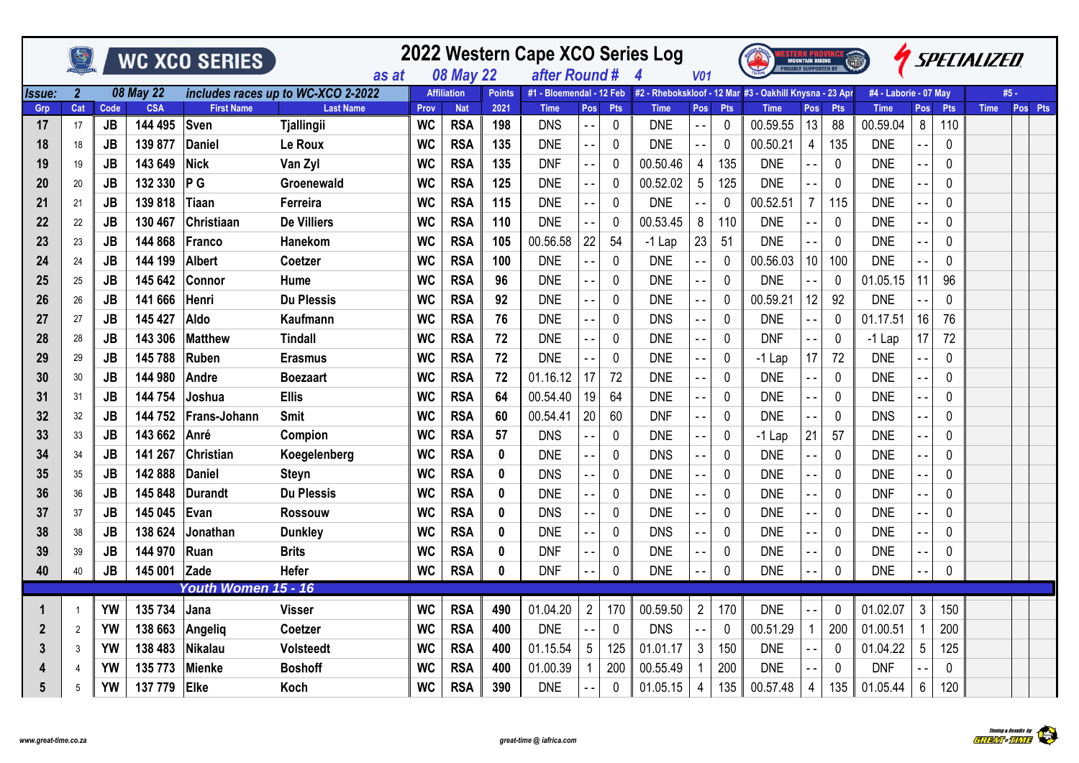|        |                |           |            | WC XCO SERIES       | as at                              |           | <b>08 May 22</b>   |                  | 2022 Western Cape XCO Series Log<br>after Round # |                          |             | $\boldsymbol{\Lambda}$ | <b>V01</b>     |             |                                                                                    |                 | $\binom{1}{\sqrt{10}}$<br><b>WESTERN PROVINCE</b><br>Mountain Biking<br>Proudly supported by |                       |                |              | <i>SPECIALIZED</i> |         |  |
|--------|----------------|-----------|------------|---------------------|------------------------------------|-----------|--------------------|------------------|---------------------------------------------------|--------------------------|-------------|------------------------|----------------|-------------|------------------------------------------------------------------------------------|-----------------|----------------------------------------------------------------------------------------------|-----------------------|----------------|--------------|--------------------|---------|--|
| Issue: | $\overline{2}$ |           | 08 May 22  |                     | includes races up to WC-XCO 2-2022 |           | <b>Affiliation</b> | <b>Points</b>    |                                                   |                          |             |                        |                |             | #1 - Bloemendal - 12 Feb   #2 - Rhebokskloof - 12 Mar #3 - Oakhill Knysna - 23 Apr |                 |                                                                                              | #4 - Laborie - 07 Mav |                |              | #5 -               |         |  |
| Grp    | Cat            | Code      | <b>CSA</b> | <b>First Name</b>   | <b>Last Name</b>                   | Prov      | <b>Nat</b>         | 2021             | <b>Time</b>                                       | Pos                      | <b>Pts</b>  | <b>Time</b>            | Pos            | <b>Pts</b>  | <b>Time</b>                                                                        | Pos             | <b>Pts</b>                                                                                   | <b>Time</b>           | Pos            | <b>Pts</b>   | <b>Time</b>        | Pos Pts |  |
| 17     | 17             | <b>JB</b> | 144 495    | Sven                | Tjallingii                         | <b>WC</b> | <b>RSA</b>         | 198              | <b>DNS</b>                                        | $\overline{\phantom{a}}$ | 0           | <b>DNE</b>             | $\sim$ $-$     | 0           | 00.59.55                                                                           | 13              | 88                                                                                           | 00.59.04              | 8              | 110          |                    |         |  |
| 18     | 18             | <b>JB</b> | 139 877    | Daniel              | Le Roux                            | <b>WC</b> | <b>RSA</b>         | 135              | <b>DNE</b>                                        |                          | 0           | <b>DNE</b>             | $\sim$ $\sim$  | 0           | 00.50.21                                                                           | 4               | 135                                                                                          | <b>DNE</b>            |                | 0            |                    |         |  |
| 19     | 19             | <b>JB</b> | 143 649    | <b>Nick</b>         | Van Zyl                            | <b>WC</b> | <b>RSA</b>         | 135              | <b>DNF</b>                                        |                          | 0           | 00.50.46               | 4              | 135         | <b>DNE</b>                                                                         |                 | $\mathbf{0}$                                                                                 | <b>DNE</b>            | $ -$           | $\Omega$     |                    |         |  |
| 20     | 20             | <b>JB</b> | 132 330    | P G                 | Groenewald                         | <b>WC</b> | <b>RSA</b>         | 125              | <b>DNE</b>                                        |                          | 0           | 00.52.02               | 5              | 125         | <b>DNE</b>                                                                         |                 | 0                                                                                            | <b>DNE</b>            | $ -$           | $\Omega$     |                    |         |  |
| 21     | 21             | <b>JB</b> | 139 818    | <b>Tiaan</b>        | Ferreira                           | <b>WC</b> | <b>RSA</b>         | 115              | <b>DNE</b>                                        |                          | 0           | <b>DNE</b>             |                | $\mathbf 0$ | 00.52.51                                                                           |                 | 115                                                                                          | <b>DNE</b>            |                | $\Omega$     |                    |         |  |
| 22     | 22             | <b>JB</b> | 130 467    | <b>Christiaan</b>   | <b>De Villiers</b>                 | <b>WC</b> | <b>RSA</b>         | 110              | <b>DNE</b>                                        |                          | 0           | 00.53.45               | 8              | 110         | <b>DNE</b>                                                                         |                 | 0                                                                                            | <b>DNE</b>            |                | $\mathbf{0}$ |                    |         |  |
| 23     | 23             | <b>JB</b> | 144 868    | Franco              | Hanekom                            | <b>WC</b> | <b>RSA</b>         | 105              | 00.56.58                                          | 22                       | 54          | $-1$ Lap               | 23             | 51          | <b>DNE</b>                                                                         |                 | 0                                                                                            | <b>DNE</b>            |                | $\Omega$     |                    |         |  |
| 24     | 24             | <b>JB</b> | 144 199    | <b>Albert</b>       | Coetzer                            | <b>WC</b> | <b>RSA</b>         | 100              | <b>DNE</b>                                        |                          | 0           | <b>DNE</b>             | $\sim$ $-$     | 0           | 00.56.03                                                                           | 10 <sup>1</sup> | 100                                                                                          | <b>DNE</b>            |                | $\Omega$     |                    |         |  |
| 25     | 25             | <b>JB</b> | 145 642    | <b>Connor</b>       | Hume                               | <b>WC</b> | <b>RSA</b>         | 96               | <b>DNE</b>                                        |                          | 0           | <b>DNE</b>             | $ -$           | 0           | <b>DNE</b>                                                                         |                 | 0                                                                                            | 01.05.15              | 11             | 96           |                    |         |  |
| 26     | 26             | <b>JB</b> | 141 666    | Henri               | <b>Du Plessis</b>                  | <b>WC</b> | <b>RSA</b>         | 92               | <b>DNE</b>                                        |                          | $\mathbf 0$ | <b>DNE</b>             | $\sim$ $-$     | 0           | 00.59.21                                                                           | 12              | 92                                                                                           | <b>DNE</b>            |                | 0            |                    |         |  |
| 27     | 27             | <b>JB</b> | 145 427    | Aldo                | Kaufmann                           | <b>WC</b> | <b>RSA</b>         | 76               | <b>DNE</b>                                        |                          | 0           | <b>DNS</b>             | $\sim$ $-$     | 0           | <b>DNE</b>                                                                         |                 | 0                                                                                            | 01.17.51              | 16             | 76           |                    |         |  |
| 28     | 28             | <b>JB</b> | 143 306    | <b>Matthew</b>      | <b>Tindall</b>                     | WC        | <b>RSA</b>         | 72               | <b>DNE</b>                                        |                          | 0           | <b>DNE</b>             | $\sim$ $\sim$  | 0           | <b>DNF</b>                                                                         |                 | 0                                                                                            | $-1$ Lap              | 17             | 72           |                    |         |  |
| 29     | 29             | <b>JB</b> | 145 788    | Ruben               | <b>Erasmus</b>                     | <b>WC</b> | <b>RSA</b>         | 72               | <b>DNE</b>                                        |                          | 0           | <b>DNE</b>             |                | 0           | $-1$ Lap                                                                           | 17              | 72                                                                                           | <b>DNE</b>            |                | $\Omega$     |                    |         |  |
| 30     | 30             | <b>JB</b> | 144 980    | Andre               | <b>Boezaart</b>                    | <b>WC</b> | <b>RSA</b>         | 72               | 01.16.12                                          | 17                       | 72          | <b>DNE</b>             | $ -$           | 0           | <b>DNE</b>                                                                         |                 | 0                                                                                            | <b>DNE</b>            |                | $\Omega$     |                    |         |  |
| 31     | 31             | <b>JB</b> | 144 754    | Joshua              | <b>Ellis</b>                       | <b>WC</b> | <b>RSA</b>         | 64               | 00.54.40                                          | 19                       | 64          | <b>DNE</b>             |                | $\mathbf 0$ | <b>DNE</b>                                                                         |                 | 0                                                                                            | <b>DNE</b>            |                | $\Omega$     |                    |         |  |
| 32     | 32             | <b>JB</b> | 144 752    | Frans-Johann        | <b>Smit</b>                        | <b>WC</b> | <b>RSA</b>         | 60               | 00.54.41                                          | 20                       | 60          | <b>DNF</b>             | $\sim$ $-$     | 0           | <b>DNE</b>                                                                         |                 | 0                                                                                            | <b>DNS</b>            |                | $\mathbf{0}$ |                    |         |  |
| 33     | 33             | <b>JB</b> | 143 662    | Anré                | Compion                            | <b>WC</b> | <b>RSA</b>         | 57               | <b>DNS</b>                                        |                          | 0           | <b>DNE</b>             | $\sim$ $-$     | 0           | $-1$ Lap                                                                           | 21              | 57                                                                                           | <b>DNE</b>            |                | $\Omega$     |                    |         |  |
| 34     | 34             | <b>JB</b> | 141 267    | <b>Christian</b>    | Koegelenberg                       | <b>WC</b> | <b>RSA</b>         | $\mathbf 0$      | <b>DNE</b>                                        |                          | 0           | <b>DNS</b>             | $ -$           | 0           | <b>DNE</b>                                                                         |                 | 0                                                                                            | <b>DNE</b>            |                | $\Omega$     |                    |         |  |
| 35     | 35             | <b>JB</b> | 142 888    | <b>Daniel</b>       | <b>Steyn</b>                       | <b>WC</b> | <b>RSA</b>         | $\mathbf 0$      | <b>DNS</b>                                        |                          | 0           | <b>DNE</b>             | $ -$           | 0           | <b>DNE</b>                                                                         |                 | 0                                                                                            | <b>DNE</b>            | $ -$           | 0            |                    |         |  |
| 36     | 36             | <b>JB</b> | 145 848    | <b>Durandt</b>      | <b>Du Plessis</b>                  | <b>WC</b> | <b>RSA</b>         | $\mathbf 0$      | <b>DNE</b>                                        |                          | $\mathbf 0$ | <b>DNE</b>             |                | 0           | <b>DNE</b>                                                                         |                 | 0                                                                                            | <b>DNF</b>            |                | $\mathbf{0}$ |                    |         |  |
| 37     | 37             | <b>JB</b> | 145 045    | Evan                | <b>Rossouw</b>                     | <b>WC</b> | <b>RSA</b>         | $\boldsymbol{0}$ | <b>DNS</b>                                        |                          | 0           | <b>DNE</b>             | $\sim$ $-$     | 0           | <b>DNE</b>                                                                         |                 | 0                                                                                            | <b>DNE</b>            | $ -$           | $\mathbf 0$  |                    |         |  |
| 38     | 38             | <b>JB</b> | 138 624    | Jonathan            | <b>Dunkley</b>                     | <b>WC</b> | <b>RSA</b>         | 0                | <b>DNE</b>                                        |                          | 0           | <b>DNS</b>             |                | 0           | <b>DNE</b>                                                                         |                 | 0                                                                                            | <b>DNE</b>            |                | 0            |                    |         |  |
| 39     | 39             | <b>JB</b> | 144 970    | Ruan                | <b>Brits</b>                       | <b>WC</b> | <b>RSA</b>         | 0                | <b>DNF</b>                                        |                          | 0           | <b>DNE</b>             | $ -$           | 0           | <b>DNE</b>                                                                         |                 | 0                                                                                            | <b>DNE</b>            |                | 0            |                    |         |  |
| 40     | 40             | JB        | 145 001    | Zade                | <b>Hefer</b>                       | <b>WC</b> | <b>RSA</b>         | $\bf{0}$         | <b>DNF</b>                                        |                          | 0           | <b>DNE</b>             |                | $\mathbf 0$ | <b>DNE</b>                                                                         |                 | 0                                                                                            | <b>DNE</b>            |                | 0            |                    |         |  |
|        |                |           |            | Youth Women 15 - 16 |                                    |           |                    |                  |                                                   |                          |             |                        |                |             |                                                                                    |                 |                                                                                              |                       |                |              |                    |         |  |
| 1      |                | <b>YW</b> | 135 734    | Jana                | <b>Visser</b>                      | <b>WC</b> | <b>RSA</b>         | 490              | 01.04.20                                          | $\overline{2}$           | 170         | 00.59.50               | 2 <sup>7</sup> | 170         | <b>DNE</b>                                                                         |                 | 0                                                                                            | 01.02.07              | 3 <sup>1</sup> | 150          |                    |         |  |
| 2      | 2              | YW        | 138 663    | Angeliq             | Coetzer                            | <b>WC</b> | <b>RSA</b>         | 400              | <b>DNE</b>                                        |                          | $\mathbf 0$ | <b>DNS</b>             |                | 0           | 00.51.29                                                                           |                 | 200                                                                                          | 01.00.51              | $\mathbf 1$    | 200          |                    |         |  |
| 3      | 3              | YW        | 138 483    | <b>Nikalau</b>      | <b>Volsteedt</b>                   | <b>WC</b> | <b>RSA</b>         | 400              | 01.15.54                                          | 5                        | 125         | 01.01.17               | 3              | 150         | <b>DNE</b>                                                                         |                 | 0                                                                                            | 01.04.22              | 5              | 125          |                    |         |  |
|        |                | <b>YW</b> | 135 773    | <b>Mienke</b>       | <b>Boshoff</b>                     | <b>WC</b> | <b>RSA</b>         | 400              | 01.00.39                                          |                          | 200         | 00.55.49               |                | 200         | <b>DNE</b>                                                                         |                 | 0                                                                                            | <b>DNF</b>            |                | 0            |                    |         |  |
| 5      | 5              | <b>YW</b> | 137 779    | Elke                | Koch                               | <b>WC</b> | <b>RSA</b>         | 390              | <b>DNE</b>                                        |                          | 0           | 01.05.15               | $\overline{4}$ | 135         | 00.57.48                                                                           | $\overline{4}$  | 135                                                                                          | 01.05.44              | 6              | 120          |                    |         |  |

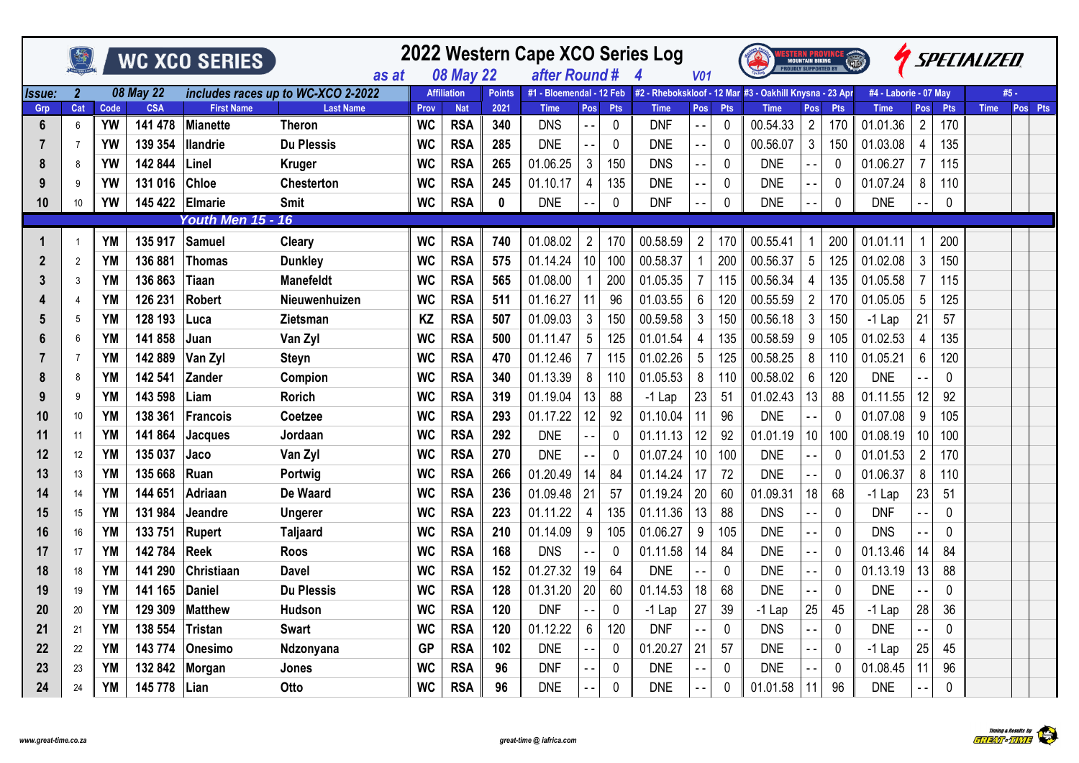|        |                |           |            | WC XCO SERIES     | as at                              |           | <b>08 May 22</b>   |               | 2022 Western Cape XCO Series Log<br>after Round # |                 |             | $\boldsymbol{\mathcal{A}}$ | <b>V01</b>      |             | <b><i>VESTERIN FROVINGE</i></b><br>Mountain Biking<br>Proudly supported by         |                          |             | <b>Code</b>           |                |     | <b><i>ISPECIALIZED</i></b> |         |
|--------|----------------|-----------|------------|-------------------|------------------------------------|-----------|--------------------|---------------|---------------------------------------------------|-----------------|-------------|----------------------------|-----------------|-------------|------------------------------------------------------------------------------------|--------------------------|-------------|-----------------------|----------------|-----|----------------------------|---------|
| Issue: | $\overline{2}$ |           | 08 May 22  |                   | includes races up to WC-XCO 2-2022 |           | <b>Affiliation</b> | <b>Points</b> |                                                   |                 |             |                            |                 |             | #1 - Bloemendal - 12 Feb   #2 - Rhebokskloof - 12 Mar #3 - Oakhill Knysna - 23 Apr |                          |             | #4 - Laborie - 07 May |                |     | #5 -                       |         |
| Grp    | Cat            | Code      | <b>CSA</b> | <b>First Name</b> | <b>Last Name</b>                   | Prov      | <b>Nat</b>         | 2021          | <b>Time</b>                                       | Pos             | Pts         | <b>Time</b>                | Pos             | Pts         | <b>Time</b>                                                                        | Pos                      | <b>Pts</b>  | <b>Time</b>           | Pos            | Pts | <b>Time</b>                | Pos Pts |
| 6      | 6              | <b>YW</b> | 141 478    | <b>Mianette</b>   | <b>Theron</b>                      | <b>WC</b> | <b>RSA</b>         | 340           | <b>DNS</b>                                        | $ -$            | $\pmb{0}$   | <b>DNF</b>                 | $\overline{a}$  | 0           | 00.54.33                                                                           | $\overline{2}$           | 170         | 01.01.36              | $\overline{2}$ | 170 |                            |         |
|        | $\overline{7}$ | <b>YW</b> | 139 354    | <b>Ilandrie</b>   | Du Plessis                         | <b>WC</b> | <b>RSA</b>         | 285           | <b>DNE</b>                                        |                 | $\pmb{0}$   | <b>DNE</b>                 | $ -$            | $\mathbf 0$ | 00.56.07                                                                           | 3                        | 150         | 01.03.08              | 4              | 135 |                            |         |
| 8      | 8              | <b>YW</b> | 142 844    | Linel             | <b>Kruger</b>                      | <b>WC</b> | <b>RSA</b>         | 265           | 01.06.25                                          | 3               | 150         | <b>DNS</b>                 |                 | $\mathbf 0$ | <b>DNE</b>                                                                         |                          | 0           | 01.06.27              |                | 115 |                            |         |
| 9      | 9              | <b>YW</b> | 131 016    | <b>Chloe</b>      | Chesterton                         | <b>WC</b> | <b>RSA</b>         | 245           | 01.10.17                                          | $\overline{4}$  | 135         | <b>DNE</b>                 |                 | $\mathbf 0$ | <b>DNE</b>                                                                         |                          | 0           | 01.07.24              | 8              | 110 |                            |         |
| 10     | 10             | <b>YW</b> | 145 422    | Elmarie           | <b>Smit</b>                        | <b>WC</b> | <b>RSA</b>         | 0             | <b>DNE</b>                                        |                 | $\mathbf 0$ | <b>DNF</b>                 |                 | 0           | <b>DNE</b>                                                                         |                          | 0           | <b>DNE</b>            |                | 0   |                            |         |
|        |                |           |            | Youth Men 15 - 16 |                                    |           |                    |               |                                                   |                 |             |                            |                 |             |                                                                                    |                          |             |                       |                |     |                            |         |
| 1      |                | <b>YM</b> | 135 917    | <b>Samuel</b>     | <b>Cleary</b>                      | <b>WC</b> | <b>RSA</b>         | 740           | 01.08.02                                          | $\overline{2}$  | 170         | 00.58.59                   | $\overline{2}$  | 170         | 00.55.41                                                                           | 1                        | 200         | 01.01.11              |                | 200 |                            |         |
| 2      | $\overline{2}$ | <b>YM</b> | 136 881    | <b>Thomas</b>     | <b>Dunkley</b>                     | <b>WC</b> | <b>RSA</b>         | 575           | 01.14.24                                          | 10 <sub>1</sub> | 100         | 00.58.37                   |                 | 200         | 00.56.37                                                                           | 5                        | 125         | 01.02.08              | 3              | 150 |                            |         |
| 3      | 3              | <b>YM</b> | 136 863    | <b>Tiaan</b>      | <b>Manefeldt</b>                   | <b>WC</b> | <b>RSA</b>         | 565           | 01.08.00                                          | 1               | 200         | 01.05.35                   |                 | 115         | 00.56.34                                                                           | 4                        | 135         | 01.05.58              | $\overline{7}$ | 115 |                            |         |
|        | 4              | <b>YM</b> | 126 231    | <b>Robert</b>     | Nieuwenhuizen                      | <b>WC</b> | <b>RSA</b>         | 511           | 01.16.27                                          | 11              | 96          | 01.03.55                   | 6               | 120         | 00.55.59                                                                           | $\overline{2}$           | 170         | 01.05.05              | 5              | 125 |                            |         |
| 5      | 5              | <b>YM</b> | 128 193    | l Luca            | <b>Zietsman</b>                    | KZ        | <b>RSA</b>         | 507           | 01.09.03                                          | 3               | 150         | 00.59.58                   | 3               | 150         | 00.56.18                                                                           | 3                        | 150         | $-1$ Lap              | 21             | 57  |                            |         |
|        | 6              | <b>YM</b> | 141 858    | Juan              | Van Zyl                            | <b>WC</b> | <b>RSA</b>         | 500           | 01.11.47                                          | $\overline{5}$  | 125         | 01.01.54                   | 4               | 135         | 00.58.59                                                                           | 9                        | 105         | 01.02.53              | 4              | 135 |                            |         |
|        | $\overline{7}$ | YM        | 142 889    | Van Zyl           | Steyn                              | <b>WC</b> | <b>RSA</b>         | 470           | 01.12.46                                          | $\overline{7}$  | 115         | 01.02.26                   | 5               | 125         | 00.58.25                                                                           | 8                        | 110         | 01.05.21              | 6              | 120 |                            |         |
| 8      | 8              | YM        | 142 541    | Zander            | Compion                            | <b>WC</b> | <b>RSA</b>         | 340           | 01.13.39                                          | 8               | 110         | 01.05.53                   | 8               | 110         | 00.58.02                                                                           | 6                        | 120         | <b>DNE</b>            |                | 0   |                            |         |
| 9      | 9              | <b>YM</b> | 143 598    | Liam              | <b>Rorich</b>                      | <b>WC</b> | <b>RSA</b>         | 319           | 01.19.04                                          | 13              | 88          | $-1$ Lap                   | 23              | 51          | 01.02.43                                                                           | 13                       | 88          | 01.11.55              | 12             | 92  |                            |         |
| 10     | 10             | <b>YM</b> | 138 361    | Francois          | Coetzee                            | <b>WC</b> | <b>RSA</b>         | 293           | 01.17.22                                          | 12              | 92          | 01.10.04                   | 11              | 96          | <b>DNE</b>                                                                         |                          | 0           | 01.07.08              | 9              | 105 |                            |         |
| 11     | 11             | <b>YM</b> | 141 864    | <b>Jacques</b>    | Jordaan                            | <b>WC</b> | <b>RSA</b>         | 292           | <b>DNE</b>                                        |                 | 0           | 01.11.13                   | 12              | 92          | 01.01.19                                                                           | 10                       | 100         | 01.08.19              | 10             | 100 |                            |         |
| 12     | 12             | YM        | 135 037    | Jaco              | Van Zyl                            | <b>WC</b> | <b>RSA</b>         | 270           | <b>DNE</b>                                        | $ -$            | $\mathbf 0$ | 01.07.24                   | 10 <sup>1</sup> | 100         | <b>DNE</b>                                                                         |                          | 0           | 01.01.53              | $\overline{2}$ | 170 |                            |         |
| 13     | 13             | <b>YM</b> | 135 668    | Ruan              | Portwig                            | <b>WC</b> | <b>RSA</b>         | 266           | 01.20.49                                          | 14              | 84          | 01.14.24                   | 17              | 72          | <b>DNE</b>                                                                         |                          | 0           | 01.06.37              | 8              | 110 |                            |         |
| 14     | 14             | YM        | 144 651    | <b>Adriaan</b>    | De Waard                           | <b>WC</b> | <b>RSA</b>         | 236           | 01.09.48                                          | 21              | 57          | 01.19.24                   | 20              | 60          | 01.09.31                                                                           | 18                       | 68          | $-1$ Lap              | 23             | 51  |                            |         |
| 15     | 15             | <b>YM</b> | 131 984    | Jeandre           | <b>Ungerer</b>                     | <b>WC</b> | <b>RSA</b>         | 223           | 01.11.22                                          | $\overline{4}$  | 135         | 01.11.36                   | 13              | 88          | <b>DNS</b>                                                                         |                          | 0           | <b>DNF</b>            | $ -$           | 0   |                            |         |
| 16     | 16             | YM        | 133 751    | Rupert            | <b>Taljaard</b>                    | <b>WC</b> | <b>RSA</b>         | 210           | 01.14.09                                          | 9               | 105         | 01.06.27                   | 9               | 105         | <b>DNE</b>                                                                         |                          | 0           | <b>DNS</b>            |                | 0   |                            |         |
| 17     | 17             | YM        | 142 784    | Reek              | <b>Roos</b>                        | <b>WC</b> | <b>RSA</b>         | 168           | <b>DNS</b>                                        |                 | $\mathbf 0$ | 01.11.58                   | 14              | 84          | <b>DNE</b>                                                                         | $\overline{\phantom{a}}$ | 0           | 01.13.46              | 14             | 84  |                            |         |
| 18     | 18             | YM        | 141 290    | <b>Christiaan</b> | <b>Davel</b>                       | <b>WC</b> | <b>RSA</b>         | 152           | 01.27.32                                          | 19              | 64          | <b>DNE</b>                 |                 | $\mathbf 0$ | <b>DNE</b>                                                                         |                          | 0           | 01.13.19              | 13             | 88  |                            |         |
| 19     | 19             | <b>YM</b> | 141 165    | <b>Daniel</b>     | <b>Du Plessis</b>                  | <b>WC</b> | <b>RSA</b>         | 128           | 01.31.20                                          | 20              | 60          | 01.14.53                   | 18              | 68          | <b>DNE</b>                                                                         |                          | $\mathbf 0$ | <b>DNE</b>            |                | 0   |                            |         |
| 20     | 20             | YM        | 129 309    | <b>Matthew</b>    | Hudson                             | <b>WC</b> | <b>RSA</b>         | 120           | <b>DNF</b>                                        |                 | $\pmb{0}$   | $-1$ Lap                   | 27              | 39          | $-1$ Lap                                                                           | 25                       | 45          | $-1$ Lap              | 28             | 36  |                            |         |
| 21     | 21             | YM        | 138 554    | <b>Tristan</b>    | <b>Swart</b>                       | <b>WC</b> | <b>RSA</b>         | 120           | 01.12.22                                          | 6               | 120         | <b>DNF</b>                 |                 | $\mathbf 0$ | <b>DNS</b>                                                                         |                          | $\mathbf 0$ | <b>DNE</b>            |                | 0   |                            |         |
| 22     | 22             | YM        | 143 774    | <b>Onesimo</b>    | Ndzonyana                          | <b>GP</b> | <b>RSA</b>         | 102           | <b>DNE</b>                                        |                 | $\mathbf 0$ | 01.20.27                   | 21              | 57          | <b>DNE</b>                                                                         | ۰.                       | 0           | $-1$ Lap              | 25             | 45  |                            |         |
| 23     | 23             | <b>YM</b> | 132 842    | Morgan            | Jones                              | <b>WC</b> | <b>RSA</b>         | 96            | <b>DNF</b>                                        |                 | $\mathbf 0$ | <b>DNE</b>                 |                 | $\mathbf 0$ | <b>DNE</b>                                                                         |                          | 0           | 01.08.45              | 11             | 96  |                            |         |
| 24     | 24             | <b>YM</b> | 145 778    | Lian              | Otto                               | <b>WC</b> | <b>RSA</b>         | 96            | <b>DNE</b>                                        |                 | $\mathbf 0$ | <b>DNE</b>                 |                 | 0           | 01.01.58                                                                           | 11                       | 96          | <b>DNE</b>            |                | 0   |                            |         |



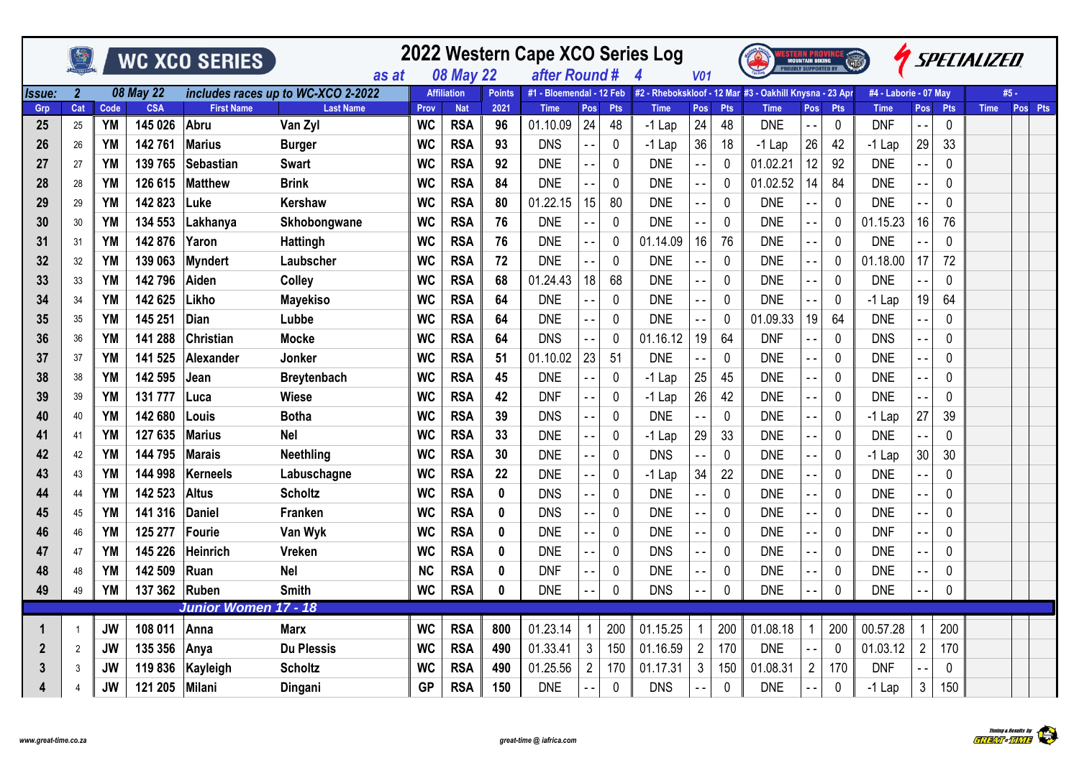|        |                |           |            | <b>WC XCO SERIES</b> |                                             |           | <b>08 May 22</b>   |               | 2022 Western Cape XCO Series Log<br>after Round # |                          |             |             | <b>V01</b>     |            |                                                         | <b>VESTERN PROVING:</b><br>Mountain Biking<br>Proudly supported by |            | $\binom{1}{10}$       |                |                | <i><b>SPECIALIZED</b></i> |         |
|--------|----------------|-----------|------------|----------------------|---------------------------------------------|-----------|--------------------|---------------|---------------------------------------------------|--------------------------|-------------|-------------|----------------|------------|---------------------------------------------------------|--------------------------------------------------------------------|------------|-----------------------|----------------|----------------|---------------------------|---------|
| Issue: | $\overline{2}$ |           | 08 May 22  |                      | as at<br>includes races up to WC-XCO 2-2022 |           | <b>Affiliation</b> | <b>Points</b> | #1 - Bloemendal - 12 Feb                          |                          |             |             |                |            | #2 - Rhebokskloof - 12 Mar #3 - Oakhill Knysna - 23 Apr |                                                                    |            | #4 - Laborie - 07 May |                |                | #5 -                      |         |
| Grp    | Cat            | Code      | <b>CSA</b> | <b>First Name</b>    | <b>Last Name</b>                            | Prov      | <b>Nat</b>         | 2021          | <b>Time</b>                                       | Pos                      | <b>Pts</b>  | <b>Time</b> | <b>Pos</b>     | <b>Pts</b> | <b>Time</b>                                             | <b>Pos</b>                                                         | <b>Pts</b> | <b>Time</b>           | Pos            | Pts            | <b>Time</b>               | Pos Pts |
| 25     | $25\,$         | <b>YM</b> | 145 026    | Abru                 | Van Zyl                                     | <b>WC</b> | <b>RSA</b>         | 96            | 01.10.09                                          | 24                       | 48          | $-1$ Lap    | 24             | 48         | <b>DNE</b>                                              | $\overline{a}$                                                     | 0          | <b>DNF</b>            |                | 0              |                           |         |
| 26     | 26             | <b>YM</b> | 142 761    | <b>Marius</b>        | <b>Burger</b>                               | <b>WC</b> | <b>RSA</b>         | 93            | <b>DNS</b>                                        |                          | 0           | $-1$ Lap    | 36             | 18         | $-1$ Lap                                                | 26                                                                 | 42         | $-1$ Lap              | 29             | 33             |                           |         |
| 27     | 27             | <b>YM</b> | 139 765    | Sebastian            | <b>Swart</b>                                | <b>WC</b> | <b>RSA</b>         | 92            | <b>DNE</b>                                        | $ -$                     | 0           | <b>DNE</b>  |                | 0          | 01.02.21                                                | 12                                                                 | 92         | <b>DNE</b>            |                | 0              |                           |         |
| 28     | 28             | <b>YM</b> | 126 615    | <b>Matthew</b>       | <b>Brink</b>                                | <b>WC</b> | <b>RSA</b>         | 84            | <b>DNE</b>                                        |                          | 0           | <b>DNE</b>  | $-$            | 0          | 01.02.52                                                | 14                                                                 | 84         | <b>DNE</b>            |                | 0              |                           |         |
| 29     | 29             | <b>YM</b> | 142 823    | Luke                 | <b>Kershaw</b>                              | <b>WC</b> | <b>RSA</b>         | 80            | 01.22.15                                          | 15                       | 80          | <b>DNE</b>  |                | 0          | <b>DNE</b>                                              |                                                                    | 0          | <b>DNE</b>            |                | 0              |                           |         |
| 30     | 30             | <b>YM</b> | 134 553    | Lakhanya             | Skhobongwane                                | <b>WC</b> | <b>RSA</b>         | 76            | <b>DNE</b>                                        |                          | 0           | <b>DNE</b>  |                | 0          | <b>DNE</b>                                              | $ -$                                                               | 0          | 01.15.23              | 16             | 76             |                           |         |
| 31     | 31             | <b>YM</b> | 142 876    | Yaron                | Hattingh                                    | <b>WC</b> | <b>RSA</b>         | 76            | <b>DNE</b>                                        |                          | 0           | 01.14.09    | 16             | 76         | <b>DNE</b>                                              | $\overline{a}$                                                     | 0          | <b>DNE</b>            |                | 0              |                           |         |
| 32     | 32             | <b>YM</b> | 139 063    | <b>Myndert</b>       | Laubscher                                   | <b>WC</b> | <b>RSA</b>         | 72            | <b>DNE</b>                                        |                          | 0           | <b>DNE</b>  |                | 0          | <b>DNE</b>                                              | $ -$                                                               | 0          | 01.18.00              | 17             | 72             |                           |         |
| 33     | 33             | YM        | 142 796    | Aiden                | Colley                                      | <b>WC</b> | <b>RSA</b>         | 68            | 01.24.43                                          | 18                       | 68          | <b>DNE</b>  |                | 0          | <b>DNE</b>                                              | $ -$                                                               | 0          | <b>DNE</b>            |                | 0              |                           |         |
| 34     | 34             | <b>YM</b> | 142 625    | Likho                | <b>Mayekiso</b>                             | <b>WC</b> | <b>RSA</b>         | 64            | <b>DNE</b>                                        |                          | $\mathbf 0$ | <b>DNE</b>  |                | 0          | <b>DNE</b>                                              |                                                                    | 0          | $-1$ Lap              | 19             | 64             |                           |         |
| 35     | 35             | <b>YM</b> | 145 251    | Dian                 | Lubbe                                       | <b>WC</b> | <b>RSA</b>         | 64            | <b>DNE</b>                                        |                          | 0           | <b>DNE</b>  |                | 0          | 01.09.33                                                | 19                                                                 | 64         | <b>DNE</b>            |                | 0              |                           |         |
| 36     | 36             | <b>YM</b> | 141 288    | <b>Christian</b>     | <b>Mocke</b>                                | <b>WC</b> | <b>RSA</b>         | 64            | <b>DNS</b>                                        |                          | 0           | 01.16.12    | 19             | 64         | <b>DNF</b>                                              |                                                                    | 0          | <b>DNS</b>            |                | 0              |                           |         |
| 37     | 37             | <b>YM</b> | 141 525    | Alexander            | Jonker                                      | <b>WC</b> | <b>RSA</b>         | 51            | 01.10.02                                          | 23                       | 51          | <b>DNE</b>  |                | 0          | <b>DNE</b>                                              | $ -$                                                               | 0          | <b>DNE</b>            |                | $\Omega$       |                           |         |
| 38     | 38             | <b>YM</b> | 142 595    | Jean                 | <b>Breytenbach</b>                          | <b>WC</b> | <b>RSA</b>         | 45            | <b>DNE</b>                                        |                          | 0           | $-1$ Lap    | 25             | 45         | <b>DNE</b>                                              | $ -$                                                               | 0          | <b>DNE</b>            |                | 0              |                           |         |
| 39     | 39             | <b>YM</b> | 131 777    | Luca                 | Wiese                                       | <b>WC</b> | <b>RSA</b>         | 42            | <b>DNF</b>                                        |                          | 0           | $-1$ Lap    | 26             | 42         | <b>DNE</b>                                              |                                                                    | 0          | <b>DNE</b>            |                | 0              |                           |         |
| 40     | 40             | <b>YM</b> | 142 680    | Louis                | <b>Botha</b>                                | <b>WC</b> | <b>RSA</b>         | 39            | <b>DNS</b>                                        |                          | 0           | <b>DNE</b>  |                | 0          | <b>DNE</b>                                              | $ -$                                                               | 0          | $-1$ Lap              | 27             | 39             |                           |         |
| 41     | 41             | <b>YM</b> | 127 635    | <b>Marius</b>        | <b>Nel</b>                                  | <b>WC</b> | <b>RSA</b>         | 33            | <b>DNE</b>                                        |                          | 0           | $-1$ Lap    | 29             | 33         | <b>DNE</b>                                              | $ -$                                                               | $\Omega$   | <b>DNE</b>            |                | 0              |                           |         |
| 42     | 42             | YM        | 144 795    | <b>Marais</b>        | Neethling                                   | <b>WC</b> | <b>RSA</b>         | 30            | <b>DNE</b>                                        |                          | 0           | <b>DNS</b>  |                | 0          | <b>DNE</b>                                              | $ -$                                                               | 0          | $-1$ Lap              | 30             | 30             |                           |         |
| 43     | 43             | <b>YM</b> | 144 998    | Kerneels             | Labuschagne                                 | <b>WC</b> | <b>RSA</b>         | 22            | <b>DNE</b>                                        | $\overline{\phantom{a}}$ | 0           | $-1$ Lap    | 34             | 22         | <b>DNE</b>                                              | $ -$                                                               | 0          | <b>DNE</b>            |                | 0              |                           |         |
| 44     | 44             | <b>YM</b> | 142 523    | <b>Altus</b>         | <b>Scholtz</b>                              | <b>WC</b> | <b>RSA</b>         | $\mathbf 0$   | <b>DNS</b>                                        |                          | 0           | <b>DNE</b>  |                | 0          | <b>DNE</b>                                              |                                                                    | 0          | <b>DNE</b>            |                | 0              |                           |         |
| 45     | 45             | <b>YM</b> | 141 316    | Daniel               | Franken                                     | <b>WC</b> | <b>RSA</b>         | $\mathbf 0$   | <b>DNS</b>                                        |                          | 0           | <b>DNE</b>  |                | 0          | <b>DNE</b>                                              | $ -$                                                               | 0          | <b>DNE</b>            |                | $\overline{0}$ |                           |         |
| 46     | 46             | <b>YM</b> | 125 277    | Fourie               | Van Wyk                                     | <b>WC</b> | <b>RSA</b>         | $\mathbf 0$   | <b>DNE</b>                                        |                          | 0           | <b>DNE</b>  |                | 0          | <b>DNE</b>                                              |                                                                    | 0          | <b>DNF</b>            |                | 0              |                           |         |
| 47     | 47             | <b>YM</b> | 145 226    | Heinrich             | Vreken                                      | <b>WC</b> | <b>RSA</b>         | 0             | <b>DNE</b>                                        |                          | 0           | <b>DNS</b>  |                | 0          | <b>DNE</b>                                              | $ -$                                                               | 0          | <b>DNE</b>            |                | 0              |                           |         |
| 48     | 48             | <b>YM</b> | 142 509    | Ruan                 | <b>Nel</b>                                  | <b>NC</b> | <b>RSA</b>         | $\bf{0}$      | <b>DNF</b>                                        |                          | 0           | <b>DNE</b>  |                | 0          | <b>DNE</b>                                              |                                                                    | 0          | <b>DNE</b>            |                | 0              |                           |         |
| 49     | 49             | <b>YM</b> | 137 362    | Ruben                | <b>Smith</b>                                | <b>WC</b> | <b>RSA</b>         | 0             | <b>DNE</b>                                        |                          | $\pmb{0}$   | <b>DNS</b>  |                | 0          | <b>DNE</b>                                              |                                                                    | 0          | <b>DNE</b>            |                | 0              |                           |         |
|        |                |           |            | Junior Women 17 - 18 |                                             |           |                    |               |                                                   |                          |             |             |                |            |                                                         |                                                                    |            |                       |                |                |                           |         |
|        |                | <b>JW</b> | 108 011    | Anna                 | <b>Marx</b>                                 | <b>WC</b> | <b>RSA</b>         | 800           | 01.23.14                                          | $\mathbf{1}$             | 200         | 01.15.25    |                | 200        | 01.08.18                                                | $\mathbf{1}$                                                       | 200        | 00.57.28              |                | 200            |                           |         |
| 2      | $\overline{2}$ | <b>JW</b> | 135 356    | Anya                 | <b>Du Plessis</b>                           | <b>WC</b> | <b>RSA</b>         | 490           | 01.33.41                                          | 3                        | 150         | 01.16.59    | $\overline{2}$ | 170        | <b>DNE</b>                                              | $ -$                                                               | 0          | 01.03.12              | $\overline{2}$ | 170            |                           |         |
| 3      | 3              | <b>JW</b> | 119 836    | Kayleigh             | <b>Scholtz</b>                              | <b>WC</b> | <b>RSA</b>         | 490           | 01.25.56                                          | $\overline{2}$           | 170         | 01.17.31    | 3              | 150        | 01.08.31                                                | $2^{\circ}$                                                        | 170        | <b>DNF</b>            |                | 0              |                           |         |
| 4      | 4              | <b>JW</b> | 121 205    | Milani               | Dingani                                     | <b>GP</b> | <b>RSA</b>         | 150           | <b>DNE</b>                                        |                          | 0           | <b>DNS</b>  |                | 0          | <b>DNE</b>                                              |                                                                    | 0          | $-1$ Lap              | $\mathfrak{Z}$ | 150            |                           |         |



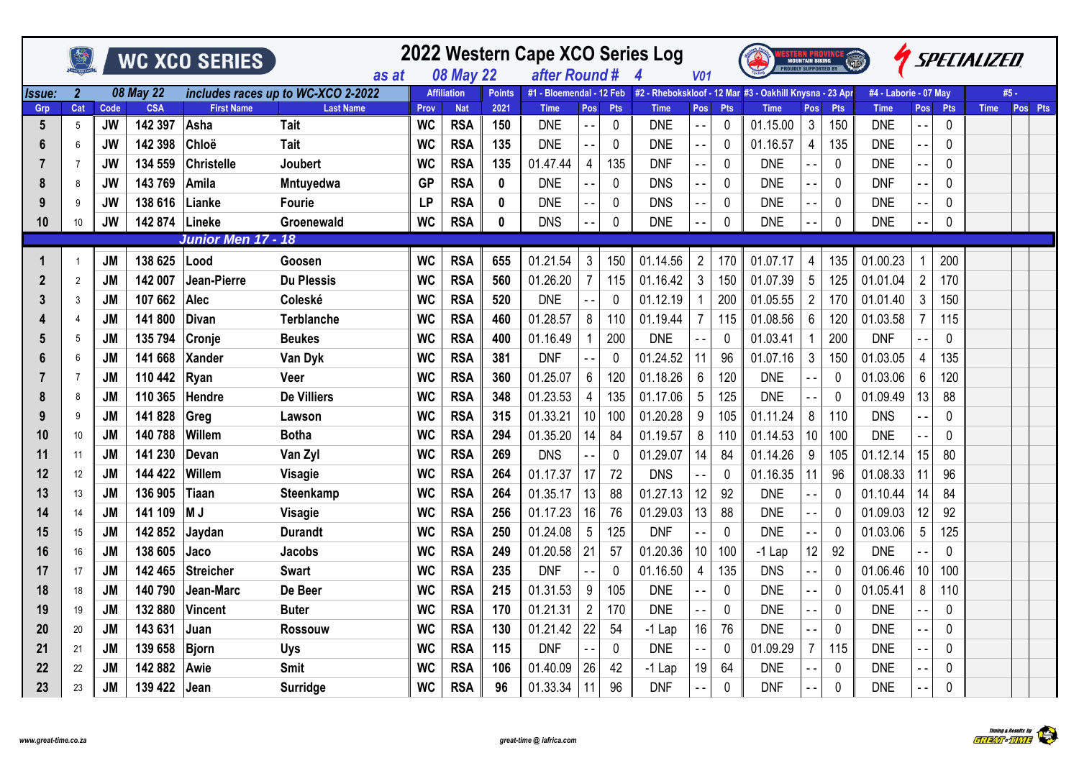|                      |                 |           |                  | <b>WC XCO SERIES</b> | as at                              |           | <b>08 May 22</b>   |               | 2022 Western Cape XCO Series Log<br>after Round # |                 |             | 4           | <b>V01</b>      |              | <b><i>MESTERIN FROURISE</i></b><br>MOUNTAIN BIKING<br>PROUDLY SUPPORTED BY       |                          |            | (4B)                  |                          |              | <b><i>ISPECIALIZED</i></b> |         |
|----------------------|-----------------|-----------|------------------|----------------------|------------------------------------|-----------|--------------------|---------------|---------------------------------------------------|-----------------|-------------|-------------|-----------------|--------------|----------------------------------------------------------------------------------|--------------------------|------------|-----------------------|--------------------------|--------------|----------------------------|---------|
| <i><b>Issue:</b></i> | $\overline{2}$  |           | <b>08 May 22</b> |                      | includes races up to WC-XCO 2-2022 |           | <b>Affiliation</b> | <b>Points</b> |                                                   |                 |             |             |                 |              | #1 - Bloemendal - 12 Feb #2 - Rhebokskloof - 12 Mar #3 - Oakhill Knysna - 23 Apr |                          |            | #4 - Laborie - 07 May |                          |              | #5 -                       |         |
| Grp                  | Cat             | Code      | <b>CSA</b>       | <b>First Name</b>    | <b>Last Name</b>                   | Prov      | <b>Nat</b>         | 2021          | <b>Time</b>                                       | Pos             | <b>Pts</b>  | <b>Time</b> | Pos             | <b>Pts</b>   | <b>Time</b>                                                                      | Pos                      | <b>Pts</b> | <b>Time</b>           | Pos                      | <b>Pts</b>   | <b>Time</b>                | Pos Pts |
| 5                    | $5\phantom{.0}$ | <b>JW</b> | 142 397          | Asha                 | Tait                               | <b>WC</b> | <b>RSA</b>         | 150           | <b>DNE</b>                                        | $\sim$ $-$      | $\pmb{0}$   | <b>DNE</b>  | $\sim$ $-$      | 0            | 01.15.00                                                                         | 3 <sup>1</sup>           | 150        | <b>DNE</b>            | $ -$                     | 0            |                            |         |
| 6                    | 6               | <b>JW</b> | 142 398          | Chloë                | <b>Tait</b>                        | <b>WC</b> | <b>RSA</b>         | 135           | <b>DNE</b>                                        |                 | 0           | <b>DNE</b>  |                 | 0            | 01.16.57                                                                         | 4                        | 135        | <b>DNE</b>            | $\overline{\phantom{a}}$ | 0            |                            |         |
|                      | $\overline{7}$  | <b>JW</b> | 134 559          | <b>Christelle</b>    | Joubert                            | <b>WC</b> | <b>RSA</b>         | 135           | 01.47.44                                          | 4               | 135         | <b>DNF</b>  |                 | 0            | <b>DNE</b>                                                                       |                          | 0          | <b>DNE</b>            | $ -$                     | 0            |                            |         |
| 8                    | 8               | <b>JW</b> | 143 769          | Amila                | Mntuyedwa                          | <b>GP</b> | <b>RSA</b>         | $\mathbf{0}$  | <b>DNE</b>                                        |                 | $\mathbf 0$ | <b>DNS</b>  |                 | 0            | <b>DNE</b>                                                                       |                          | 0          | <b>DNF</b>            | $\overline{\phantom{a}}$ | $\Omega$     |                            |         |
| 9                    | 9               | <b>JW</b> | 138 616          | Lianke               | Fourie                             | <b>LP</b> | <b>RSA</b>         | $\mathbf{0}$  | <b>DNE</b>                                        |                 | 0           | <b>DNS</b>  |                 | 0            | <b>DNE</b>                                                                       |                          | 0          | <b>DNE</b>            |                          | 0            |                            |         |
| 10                   | 10              | <b>JW</b> | 142 874 Lineke   |                      | Groenewald                         | <b>WC</b> | <b>RSA</b>         | 0             | <b>DNS</b>                                        |                 | 0           | <b>DNE</b>  |                 | 0            | <b>DNE</b>                                                                       |                          | 0          | <b>DNE</b>            |                          | 0            |                            |         |
|                      |                 |           |                  | Junior Men 17 - 18   |                                    |           |                    |               |                                                   |                 |             |             |                 |              |                                                                                  |                          |            |                       |                          |              |                            |         |
|                      |                 | <b>JM</b> | 138 625          | Lood                 | Goosen                             | <b>WC</b> | <b>RSA</b>         | 655           | 01.21.54                                          | 3               | 150         | 01.14.56    | $\overline{2}$  | 170          | 01.07.17                                                                         | $\overline{4}$           | 135        | 01.00.23              | 1                        | 200          |                            |         |
| 2                    | 2               | <b>JM</b> | 142 007          | Jean-Pierre          | <b>Du Plessis</b>                  | <b>WC</b> | <b>RSA</b>         | 560           | 01.26.20                                          |                 | 115         | 01.16.42    | 3               | 150          | 01.07.39                                                                         | $5\phantom{.0}$          | 125        | 01.01.04              | $\overline{2}$           | 170          |                            |         |
| 3                    | 3               | <b>JM</b> | 107 662          | Alec                 | Coleské                            | <b>WC</b> | <b>RSA</b>         | 520           | <b>DNE</b>                                        |                 | 0           | 01.12.19    |                 | 200          | 01.05.55                                                                         | $\overline{2}$           | 170        | 01.01.40              | 3                        | 150          |                            |         |
|                      | 4               | <b>JM</b> | 141 800          | <b>Divan</b>         | <b>Terblanche</b>                  | <b>WC</b> | <b>RSA</b>         | 460           | 01.28.57                                          | 8               | 110         | 01.19.44    |                 | 115          | 01.08.56                                                                         | 6                        | 120        | 01.03.58              | 7                        | 115          |                            |         |
| 5                    | 5               | <b>JM</b> | 135 794          | Cronje               | <b>Beukes</b>                      | <b>WC</b> | <b>RSA</b>         | 400           | 01.16.49                                          |                 | 200         | <b>DNE</b>  |                 | $\mathbf{0}$ | 01.03.41                                                                         |                          | 200        | <b>DNF</b>            |                          | 0            |                            |         |
| 6                    | 6               | <b>JM</b> | 141 668          | <b>Xander</b>        | Van Dyk                            | <b>WC</b> | <b>RSA</b>         | 381           | <b>DNF</b>                                        |                 | 0           | 01.24.52    | 11              | 96           | 01.07.16                                                                         | $\mathbf{3}$             | 150        | 01.03.05              | 4                        | 135          |                            |         |
|                      | $\overline{7}$  | <b>JM</b> | 110 442          | Ryan                 | Veer                               | <b>WC</b> | <b>RSA</b>         | 360           | 01.25.07                                          | 6               | 120         | 01.18.26    | 6               | 120          | <b>DNE</b>                                                                       | $\overline{\phantom{a}}$ | 0          | 01.03.06              | 6                        | 120          |                            |         |
| 8                    | $\mathbf{8}$    | <b>JM</b> | 110 365          | Hendre               | <b>De Villiers</b>                 | <b>WC</b> | <b>RSA</b>         | 348           | 01.23.53                                          | 4               | 135         | 01.17.06    | 5               | 125          | <b>DNE</b>                                                                       | $ -$                     | 0          | 01.09.49              | 13                       | 88           |                            |         |
| 9                    | 9               | <b>JM</b> | 141 828          | Greg                 | Lawson                             | <b>WC</b> | <b>RSA</b>         | 315           | 01.33.21                                          | 10 <sup>°</sup> | 100         | 01.20.28    | 9               | 105          | 01.11.24                                                                         | 8                        | 110        | <b>DNS</b>            |                          | $\mathbf{0}$ |                            |         |
| 10                   | 10              | <b>JM</b> | 140 788          | Willem               | <b>Botha</b>                       | <b>WC</b> | <b>RSA</b>         | 294           | 01.35.20                                          | 14              | 84          | 01.19.57    | 8               | 110          | 01.14.53                                                                         | 10                       | 100        | <b>DNE</b>            |                          | 0            |                            |         |
| 11                   | 11              | <b>JM</b> | 141 230          | Devan                | Van Zyl                            | <b>WC</b> | <b>RSA</b>         | 269           | <b>DNS</b>                                        |                 | 0           | 01.29.07    | 14              | 84           | 01.14.26                                                                         | 9                        | 105        | 01.12.14              | 15                       | 80           |                            |         |
| 12                   | 12              | <b>JM</b> | 144 422          | <b>Willem</b>        | <b>Visagie</b>                     | <b>WC</b> | <b>RSA</b>         | 264           | 01.17.37                                          | 17              | 72          | <b>DNS</b>  |                 | 0            | 01.16.35                                                                         | 11                       | 96         | 01.08.33              | 11                       | 96           |                            |         |
| 13                   | 13              | <b>JM</b> | 136 905          | <b>Tiaan</b>         | Steenkamp                          | <b>WC</b> | <b>RSA</b>         | 264           | 01.35.17                                          | 13              | 88          | 01.27.13    | 12              | 92           | <b>DNE</b>                                                                       |                          | 0          | 01.10.44              | 14                       | 84           |                            |         |
| 14                   | 14              | <b>JM</b> | 141 109          | <b>MJ</b>            | Visagie                            | <b>WC</b> | <b>RSA</b>         | 256           | 01.17.23                                          | 16              | 76          | 01.29.03    | 13              | 88           | <b>DNE</b>                                                                       | $ -$                     | 0          | 01.09.03              | 12                       | 92           |                            |         |
| 15                   | 15              | <b>JM</b> | 142 852          | Jaydan               | <b>Durandt</b>                     | <b>WC</b> | <b>RSA</b>         | 250           | 01.24.08                                          | 5               | 125         | <b>DNF</b>  |                 | 0            | <b>DNE</b>                                                                       |                          | 0          | 01.03.06              | 5                        | 125          |                            |         |
| 16                   | 16              | <b>JM</b> | 138 605          | Jaco                 | <b>Jacobs</b>                      | <b>WC</b> | <b>RSA</b>         | 249           | 01.20.58                                          | 21              | 57          | 01.20.36    | 10 <sup>°</sup> | 100          | $-1$ Lap                                                                         | 12                       | 92         | <b>DNE</b>            |                          | $\Omega$     |                            |         |
| 17                   | 17              | <b>JM</b> | 142 465          | <b>Streicher</b>     | Swart                              | <b>WC</b> | <b>RSA</b>         | 235           | <b>DNF</b>                                        |                 | 0           | 01.16.50    | 4               | 135          | <b>DNS</b>                                                                       | $-$                      | 0          | 01.06.46              | 10 <sup>1</sup>          | 100          |                            |         |
| 18                   | 18              | <b>JM</b> | 140 790          | Jean-Marc            | De Beer                            | <b>WC</b> | <b>RSA</b>         | 215           | 01.31.53                                          | 9               | 105         | <b>DNE</b>  |                 | 0            | <b>DNE</b>                                                                       | $ -$                     | 0          | 01.05.41              | 8                        | 110          |                            |         |
| 19                   | 19              | <b>JM</b> | 132 880          | <b>Vincent</b>       | Buter                              | <b>WC</b> | <b>RSA</b>         | 170           | 01.21.31                                          | $\overline{2}$  | 170         | <b>DNE</b>  |                 | 0            | <b>DNE</b>                                                                       | $ -$                     | 0          | <b>DNE</b>            |                          | $\mathbf{0}$ |                            |         |
| 20                   | 20              | <b>JM</b> | 143 631          | Juan                 | Rossouw                            | <b>WC</b> | <b>RSA</b>         | 130           | 01.21.42                                          | 22              | 54          | $-1$ Lap    | 16              | 76           | <b>DNE</b>                                                                       |                          | 0          | <b>DNE</b>            | $ -$                     | 0            |                            |         |
| 21                   | 21              | <b>JM</b> | 139 658          | <b>Bjorn</b>         | <b>Uys</b>                         | <b>WC</b> | <b>RSA</b>         | 115           | <b>DNF</b>                                        |                 | 0           | <b>DNE</b>  |                 | 0            | 01.09.29                                                                         | $\overline{7}$           | 115        | <b>DNE</b>            | $ -$                     | 0            |                            |         |
| 22                   | 22              | <b>JM</b> | 142 882          | Awie                 | Smit                               | <b>WC</b> | <b>RSA</b>         | 106           | 01.40.09                                          | 26              | 42          | $-1$ Lap    | 19              | 64           | <b>DNE</b>                                                                       |                          | 0          | <b>DNE</b>            | $\overline{\phantom{a}}$ | $\Omega$     |                            |         |
| 23                   | 23              | <b>JM</b> | 139 422          | Jean                 | Surridge                           | <b>WC</b> | <b>RSA</b>         | 96            | 01.33.34                                          | 11              | 96          | <b>DNF</b>  |                 | 0            | <b>DNF</b>                                                                       |                          | 0          | <b>DNE</b>            |                          | 0            |                            |         |

Timing a Results by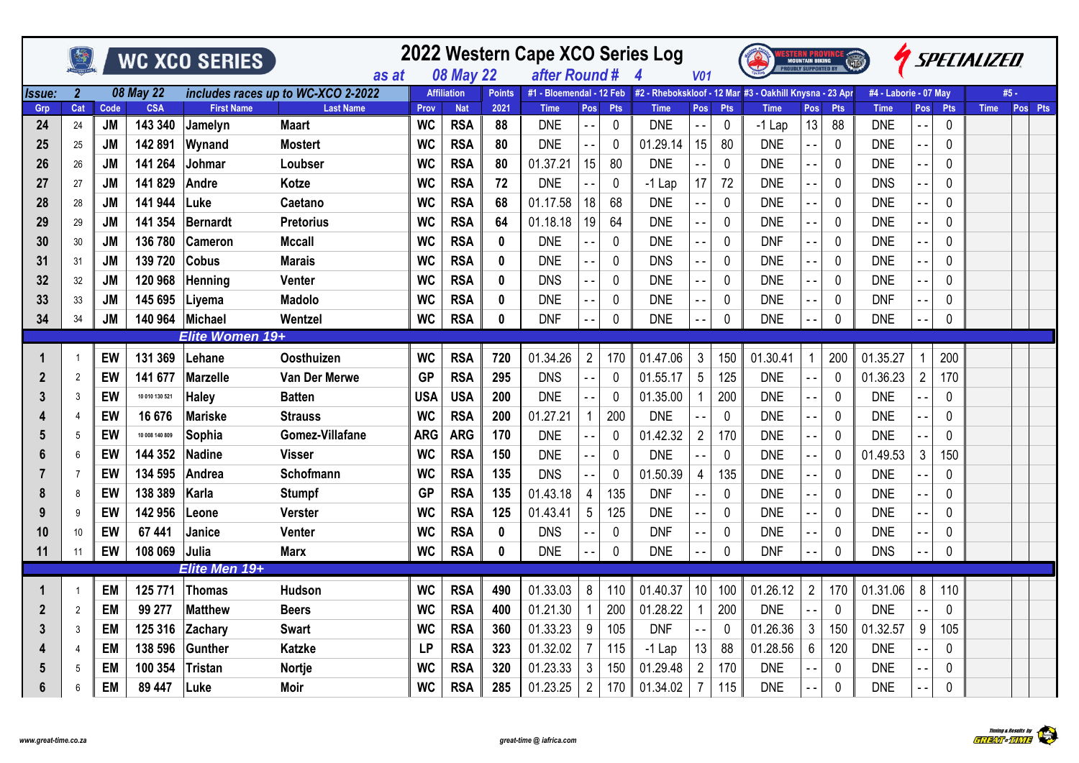|             |                |           |                  | WC XCO SERIES     | as at                              |            | <b>08 May 22</b>   |               | 2022 Western Cape XCO Series Log<br>after Round # |                |              | $\boldsymbol{\Lambda}$ | <b>V01</b>      |             |                                                                                    | <b>MOUNTAIN BIKING</b>   |              |                       |                  |          | <i><b>SPECIALIZED</b></i> |         |
|-------------|----------------|-----------|------------------|-------------------|------------------------------------|------------|--------------------|---------------|---------------------------------------------------|----------------|--------------|------------------------|-----------------|-------------|------------------------------------------------------------------------------------|--------------------------|--------------|-----------------------|------------------|----------|---------------------------|---------|
| Issue:      | $\mathbf{2}$   |           | <b>08 May 22</b> |                   | includes races up to WC-XCO 2-2022 |            | <b>Affiliation</b> | <b>Points</b> |                                                   |                |              |                        |                 |             | #1 - Bloemendal - 12 Feb   #2 - Rhebokskloof - 12 Mar #3 - Oakhill Knysna - 23 Apr |                          |              | #4 - Laborie - 07 May |                  |          | #5 -                      |         |
| Grp         | Cat            | Code      | <b>CSA</b>       | <b>First Name</b> | <b>Last Name</b>                   | Prov       | <b>Nat</b>         | 2021          | <b>Time</b>                                       | Pos            | <b>Pts</b>   | <b>Time</b>            | Pos             | <b>Pts</b>  | <b>Time</b>                                                                        | Pos                      | <b>Pts</b>   | <b>Time</b>           | Pos <sup> </sup> | Pts      | <b>Time</b>               | Pos Pts |
| 24          | 24             | <b>JM</b> | 143 340          | Jamelyn           | <b>Maart</b>                       | <b>WC</b>  | <b>RSA</b>         | 88            | <b>DNE</b>                                        | $\sim$ $-$     | $\pmb{0}$    | <b>DNE</b>             | $ -$            | $\mathbf 0$ | $-1$ Lap                                                                           | 13                       | 88           | <b>DNE</b>            | $\sim$ $-$       | 0        |                           |         |
| 25          | 25             | <b>JM</b> | 142 891          | Wynand            | <b>Mostert</b>                     | <b>WC</b>  | <b>RSA</b>         | 80            | <b>DNE</b>                                        | $\sim$ $-$     | 0            | 01.29.14               | 15              | 80          | <b>DNE</b>                                                                         |                          | $\mathbf 0$  | <b>DNE</b>            | $\sim$ $\sim$    | 0        |                           |         |
| 26          | 26             | <b>JM</b> | 141 264          | Johmar            | Loubser                            | <b>WC</b>  | <b>RSA</b>         | 80            | 01.37.21                                          | 15             | 80           | <b>DNE</b>             |                 | $\mathbf 0$ | <b>DNE</b>                                                                         | $\overline{\phantom{a}}$ | 0            | <b>DNE</b>            | $ -$             | 0        |                           |         |
| 27          | 27             | <b>JM</b> | 141 829          | <b>Andre</b>      | Kotze                              | <b>WC</b>  | <b>RSA</b>         | 72            | <b>DNE</b>                                        |                | $\mathbf 0$  | $-1$ Lap               | 17              | 72          | <b>DNE</b>                                                                         |                          | 0            | <b>DNS</b>            | $ -$             | 0        |                           |         |
| 28          | 28             | <b>JM</b> | 141 944          | Luke              | Caetano                            | <b>WC</b>  | <b>RSA</b>         | 68            | 01.17.58                                          | 18             | 68           | <b>DNE</b>             |                 | $\mathbf 0$ | <b>DNE</b>                                                                         |                          | 0            | <b>DNE</b>            | $\sim$ $-$       | 0        |                           |         |
| 29          | 29             | <b>JM</b> | 141 354          | Bernardt          | <b>Pretorius</b>                   | <b>WC</b>  | <b>RSA</b>         | 64            | 01.18.18                                          | 19             | 64           | <b>DNE</b>             |                 | $\mathbf 0$ | <b>DNE</b>                                                                         | - -                      | 0            | <b>DNE</b>            | $ -$             | 0        |                           |         |
| 30          | 30             | <b>JM</b> | 136 780          | <b>Cameron</b>    | <b>Mccall</b>                      | <b>WC</b>  | <b>RSA</b>         | $\mathbf{0}$  | <b>DNE</b>                                        |                | $\mathbf 0$  | <b>DNE</b>             |                 | $\mathbf 0$ | <b>DNF</b>                                                                         |                          | 0            | <b>DNE</b>            |                  | 0        |                           |         |
| 31          | 31             | <b>JM</b> | 139 720          | <b>Cobus</b>      | <b>Marais</b>                      | <b>WC</b>  | <b>RSA</b>         | $\mathbf{0}$  | <b>DNE</b>                                        | $ -$           | $\mathbf 0$  | <b>DNS</b>             |                 | $\mathbf 0$ | <b>DNE</b>                                                                         |                          | 0            | <b>DNE</b>            |                  | 0        |                           |         |
| 32          | 32             | <b>JM</b> | 120 968          | Henning           | Venter                             | <b>WC</b>  | <b>RSA</b>         | $\mathbf 0$   | <b>DNS</b>                                        |                | $\mathbf 0$  | <b>DNE</b>             |                 | $\mathbf 0$ | <b>DNE</b>                                                                         |                          | $\mathbf 0$  | <b>DNE</b>            |                  | 0        |                           |         |
| 33          | 33             | <b>JM</b> | 145 695          | Liyema            | <b>Madolo</b>                      | <b>WC</b>  | <b>RSA</b>         | $\mathbf{0}$  | <b>DNE</b>                                        |                | $\mathbf 0$  | <b>DNE</b>             |                 | 0           | <b>DNE</b>                                                                         |                          | 0            | <b>DNF</b>            |                  | 0        |                           |         |
| 34          | 34             | <b>JM</b> | 140 964 Michael  |                   | Wentzel                            | <b>WC</b>  | <b>RSA</b>         | $\mathbf{0}$  | <b>DNF</b>                                        |                | $\pmb{0}$    | <b>DNE</b>             |                 | $\mathbf 0$ | <b>DNE</b>                                                                         |                          | 0            | <b>DNE</b>            |                  | 0        |                           |         |
|             |                |           |                  | Elite Women 19+   |                                    |            |                    |               |                                                   |                |              |                        |                 |             |                                                                                    |                          |              |                       |                  |          |                           |         |
|             |                | EW        | 131 369          | Lehane            | Oosthuizen                         | <b>WC</b>  | <b>RSA</b>         | 720           | 01.34.26                                          | $\overline{2}$ | 170          | 01.47.06               | $\mathfrak{Z}$  | 150         | 01.30.41                                                                           | $\mathbf{1}$             | 200          | 01.35.27              |                  | 200      |                           |         |
| 2           | $\overline{2}$ | EW        | 141 677          | <b>Marzelle</b>   | Van Der Merwe                      | <b>GP</b>  | <b>RSA</b>         | 295           | <b>DNS</b>                                        | $ -$           | $\mathbf 0$  | 01.55.17               | 5               | 125         | <b>DNE</b>                                                                         |                          | 0            | 01.36.23              | $\overline{2}$   | 170      |                           |         |
| 3           | 3              | EW        | 10 010 130 521   | <b>Haley</b>      | <b>Batten</b>                      | <b>USA</b> | <b>USA</b>         | 200           | <b>DNE</b>                                        | $ -$           | $\mathbf 0$  | 01.35.00               |                 | 200         | <b>DNE</b>                                                                         | $ -$                     | 0            | <b>DNE</b>            |                  | 0        |                           |         |
|             |                | EW        | 16 676           | <b>Mariske</b>    | <b>Strauss</b>                     | <b>WC</b>  | <b>RSA</b>         | 200           | 01.27.21                                          | 1              | 200          | <b>DNE</b>             |                 | $\mathbf 0$ | <b>DNE</b>                                                                         | - -                      | 0            | <b>DNE</b>            | $ -$             | 0        |                           |         |
| 5           | 5              | EW        | 10 008 140 809   | Sophia            | <b>Gomez-Villafane</b>             | <b>ARG</b> | <b>ARG</b>         | 170           | <b>DNE</b>                                        |                | $\mathbf{0}$ | 01.42.32               | $\overline{2}$  | 170         | <b>DNE</b>                                                                         |                          | 0            | <b>DNE</b>            |                  | $\Omega$ |                           |         |
|             | 6              | EW        | 144 352          | <b>Nadine</b>     | Visser                             | <b>WC</b>  | <b>RSA</b>         | 150           | <b>DNE</b>                                        | $ -$           | $\mathbf 0$  | <b>DNE</b>             |                 | $\mathbf 0$ | <b>DNE</b>                                                                         | $\overline{\phantom{a}}$ | 0            | 01.49.53              | 3                | 150      |                           |         |
|             | 7              | EW        | 134 595          | Andrea            | Schofmann                          | <b>WC</b>  | <b>RSA</b>         | 135           | <b>DNS</b>                                        |                | 0            | 01.50.39               | 4               | 135         | <b>DNE</b>                                                                         |                          | $\mathbf{0}$ | <b>DNE</b>            |                  | 0        |                           |         |
| 8           | 8              | EW        | 138 389          | Karla             | <b>Stumpf</b>                      | <b>GP</b>  | <b>RSA</b>         | 135           | 01.43.18                                          | $\overline{4}$ | 135          | <b>DNF</b>             |                 | 0           | <b>DNE</b>                                                                         | $ -$                     | 0            | <b>DNE</b>            | $ -$             | 0        |                           |         |
| 9           | 9              | EW        | 142 956          | Leone             | <b>Verster</b>                     | <b>WC</b>  | <b>RSA</b>         | 125           | 01.43.41                                          | 5              | 125          | <b>DNE</b>             |                 | $\mathbf 0$ | <b>DNE</b>                                                                         |                          | 0            | <b>DNE</b>            |                  | 0        |                           |         |
| 10          | 10             | EW        | 67 441           | Janice            | <b>Venter</b>                      | <b>WC</b>  | <b>RSA</b>         | 0             | <b>DNS</b>                                        |                | $\mathbf 0$  | <b>DNF</b>             |                 | $\mathbf 0$ | <b>DNE</b>                                                                         |                          | 0            | <b>DNE</b>            |                  | 0        |                           |         |
| 11          | 11             | EW        | 108 069          | Julia             | <b>Marx</b>                        | <b>WC</b>  | <b>RSA</b>         | 0             | <b>DNE</b>                                        |                | $\pmb{0}$    | <b>DNE</b>             |                 | $\mathbf 0$ | <b>DNF</b>                                                                         |                          | $\mathbf 0$  | <b>DNS</b>            |                  | 0        |                           |         |
|             |                |           |                  | Elite Men 19+     |                                    |            |                    |               |                                                   |                |              |                        |                 |             |                                                                                    |                          |              |                       |                  |          |                           |         |
| $\mathbf 1$ |                | EM        | 125 771          | Thomas            | Hudson                             | <b>WC</b>  | <b>RSA</b>         | 490           | 01.33.03                                          | 8              | 110          | 01.40.37               | 10 <sup>1</sup> | 100         | 01.26.12                                                                           | $\overline{2}$           | 170          | 01.31.06              | 8                | 110      |                           |         |
| 2           | $\overline{2}$ | EM        | 99 277           | <b>Matthew</b>    | <b>Beers</b>                       | <b>WC</b>  | <b>RSA</b>         | 400           | 01.21.30                                          |                | 200          | 01.28.22               |                 | 200         | <b>DNE</b>                                                                         |                          | $\mathbf 0$  | <b>DNE</b>            |                  | 0        |                           |         |
| 3           | 3              | <b>EM</b> | 125 316          | Zachary           | Swart                              | <b>WC</b>  | <b>RSA</b>         | 360           | 01.33.23                                          | 9              | 105          | <b>DNF</b>             |                 | 0           | 01.26.36                                                                           | 3                        | 150          | 01.32.57              | 9                | 105      |                           |         |
|             |                | EM        | 138 596          | Gunther           | Katzke                             | <b>LP</b>  | <b>RSA</b>         | 323           | 01.32.02                                          | $\overline{7}$ | 115          | $-1$ Lap               | 13              | 88          | 01.28.56                                                                           | 6                        | 120          | <b>DNE</b>            |                  | 0        |                           |         |
|             | 5              | <b>EM</b> | 100 354          | <b>Tristan</b>    | Nortje                             | <b>WC</b>  | <b>RSA</b>         | 320           | 01.23.33                                          | $\mathfrak{Z}$ | 150          | 01.29.48               | $\overline{2}$  | 170         | <b>DNE</b>                                                                         |                          | 0            | <b>DNE</b>            |                  | 0        |                           |         |
| 6           | 6              | EM        | 89 447           | Luke              | <b>Moir</b>                        | <b>WC</b>  | <b>RSA</b>         | 285           | 01.23.25                                          | $\overline{2}$ | 170          | 01.34.02               | $\overline{7}$  | 115         | <b>DNE</b>                                                                         |                          | 0            | <b>DNE</b>            | $\overline{a}$   | 0        |                           |         |



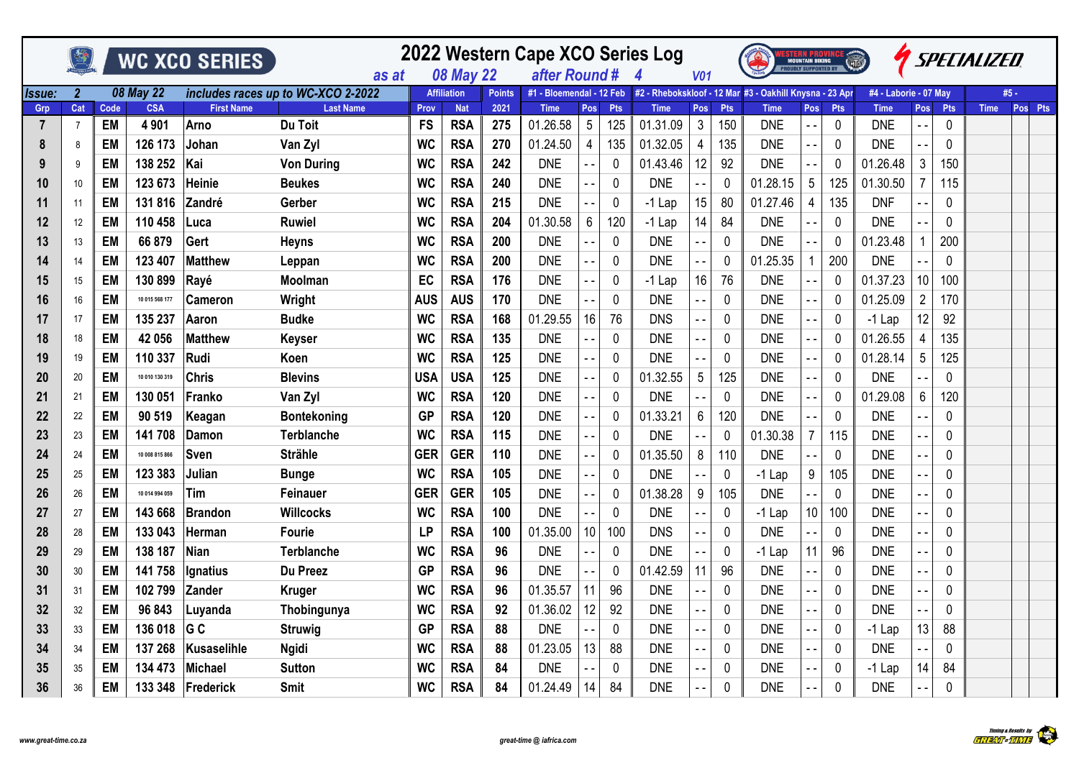|        |                |           |                | WC XCO SERIES     | as at                              |            | <b>08 May 22</b>   |               | 2022 Western Cape XCO Series Log<br>after Round # |                 |             |                                                         | <b>V01</b>   |              | <b>WESTERN PROVINCE</b><br>Mountain Biking<br>Proudly supported by |                          |            | $\binom{1}{10}$       |                |              | <i>SPECIALIZED</i> |         |  |
|--------|----------------|-----------|----------------|-------------------|------------------------------------|------------|--------------------|---------------|---------------------------------------------------|-----------------|-------------|---------------------------------------------------------|--------------|--------------|--------------------------------------------------------------------|--------------------------|------------|-----------------------|----------------|--------------|--------------------|---------|--|
| Issue: | $\overline{2}$ |           | 08 May 22      |                   | includes races up to WC-XCO 2-2022 |            | <b>Affiliation</b> | <b>Points</b> | #1 - Bloemendal - 12 Feb                          |                 |             | #2 - Rhebokskloof - 12 Mar #3 - Oakhill Knysna - 23 Apr |              |              |                                                                    |                          |            | #4 - Laborie - 07 May |                |              | #5 -               |         |  |
| Grp    | Cat            | Code      | <b>CSA</b>     | <b>First Name</b> | <b>Last Name</b>                   | Prov       | <b>Nat</b>         | 2021          | <b>Time</b>                                       | Pos             | <b>Pts</b>  | <b>Time</b>                                             | Pos          | <b>Pts</b>   | <b>Time</b>                                                        | <b>Pos</b>               | <b>Pts</b> | <b>Time</b>           | Pos            | Pts          | <b>Time</b>        | Pos Pts |  |
| 7      | $\overline{7}$ | <b>EM</b> | 4 9 0 1        | <b>Arno</b>       | Du Toit                            | <b>FS</b>  | <b>RSA</b>         | 275           | 01.26.58                                          | $5\phantom{.0}$ | 125         | 01.31.09                                                | $\mathbf{3}$ | 150          | <b>DNE</b>                                                         | $\overline{\phantom{a}}$ | 0          | <b>DNE</b>            |                | 0            |                    |         |  |
| 8      | 8              | <b>EM</b> | 126 173        | Johan             | Van Zyl                            | <b>WC</b>  | <b>RSA</b>         | 270           | 01.24.50                                          | 4               | 135         | 01.32.05                                                | 4            | 135          | <b>DNE</b>                                                         | $\overline{a}$           | 0          | <b>DNE</b>            |                | 0            |                    |         |  |
| 9      | 9              | <b>EM</b> | 138 252        | Kai               | <b>Von During</b>                  | <b>WC</b>  | <b>RSA</b>         | 242           | <b>DNE</b>                                        |                 | 0           | 01.43.46                                                | 12           | 92           | <b>DNE</b>                                                         | $\overline{a}$           | $\Omega$   | 01.26.48              | $\mathbf{3}$   | 150          |                    |         |  |
| 10     | 10             | <b>EM</b> | 123 673        | Heinie            | <b>Beukes</b>                      | <b>WC</b>  | <b>RSA</b>         | 240           | <b>DNE</b>                                        | $ -$            | $\mathbf 0$ | <b>DNE</b>                                              |              | 0            | 01.28.15                                                           | 5                        | 125        | 01.30.50              |                | 115          |                    |         |  |
| 11     | 11             | <b>EM</b> | 131 816        | Zandré            | Gerber                             | <b>WC</b>  | <b>RSA</b>         | 215           | <b>DNE</b>                                        |                 | $\mathbf 0$ | $-1$ Lap                                                | 15           | 80           | 01.27.46                                                           | $\overline{4}$           | 135        | <b>DNF</b>            |                | 0            |                    |         |  |
| 12     | 12             | EM        | 110 458        | ∣Luca             | <b>Ruwiel</b>                      | <b>WC</b>  | <b>RSA</b>         | 204           | 01.30.58                                          | 6               | 120         | $-1$ Lap                                                | 14           | 84           | <b>DNE</b>                                                         |                          | 0          | <b>DNE</b>            |                | 0            |                    |         |  |
| 13     | 13             | EM        | 66 879         | Gert              | <b>Heyns</b>                       | <b>WC</b>  | <b>RSA</b>         | 200           | <b>DNE</b>                                        |                 | $\mathbf 0$ | <b>DNE</b>                                              |              | 0            | <b>DNE</b>                                                         | $\overline{a}$           | $\Omega$   | 01.23.48              |                | 200          |                    |         |  |
| 14     | 14             | <b>EM</b> | 123 407        | <b>Matthew</b>    | Leppan                             | <b>WC</b>  | <b>RSA</b>         | 200           | <b>DNE</b>                                        |                 | 0           | <b>DNE</b>                                              |              | 0            | 01.25.35                                                           | $\mathbf{1}$             | 200        | <b>DNE</b>            |                | $\mathbf 0$  |                    |         |  |
| 15     | 15             | <b>EM</b> | 130 899        | Rayé              | Moolman                            | EC         | <b>RSA</b>         | 176           | <b>DNE</b>                                        | - -             | 0           | $-1$ Lap                                                | 16           | 76           | <b>DNE</b>                                                         | $ -$                     | 0          | 01.37.23              | 10             | 100          |                    |         |  |
| 16     | 16             | EM        | 10 015 568 177 | <b>Cameron</b>    | Wright                             | <b>AUS</b> | <b>AUS</b>         | 170           | <b>DNE</b>                                        |                 | $\mathbf 0$ | <b>DNE</b>                                              |              | 0            | <b>DNE</b>                                                         | $ -$                     | 0          | 01.25.09              | $\overline{2}$ | 170          |                    |         |  |
| 17     | 17             | EM        | 135 237        | <b>Aaron</b>      | <b>Budke</b>                       | <b>WC</b>  | <b>RSA</b>         | 168           | 01.29.55                                          | 16              | 76          | <b>DNS</b>                                              |              | 0            | <b>DNE</b>                                                         | $\overline{a}$           | 0          | $-1$ Lap              | 12             | 92           |                    |         |  |
| 18     | 18             | <b>EM</b> | 42 056         | <b>Matthew</b>    | Keyser                             | <b>WC</b>  | <b>RSA</b>         | 135           | <b>DNE</b>                                        |                 | 0           | <b>DNE</b>                                              |              | 0            | <b>DNE</b>                                                         | $\overline{a}$           | 0          | 01.26.55              |                | 135          |                    |         |  |
| 19     | 19             | <b>EM</b> | 110 337        | Rudi              | Koen                               | <b>WC</b>  | <b>RSA</b>         | 125           | <b>DNE</b>                                        |                 | 0           | <b>DNE</b>                                              |              | 0            | <b>DNE</b>                                                         | $ -$                     | $\Omega$   | 01.28.14              | 5              | 125          |                    |         |  |
| 20     | 20             | <b>EM</b> | 10 010 130 319 | <b>Chris</b>      | <b>Blevins</b>                     | <b>USA</b> | <b>USA</b>         | 125           | <b>DNE</b>                                        | $ -$            | 0           | 01.32.55                                                | 5            | 125          | <b>DNE</b>                                                         | $ -$                     | 0          | <b>DNE</b>            |                | 0            |                    |         |  |
| 21     | 21             | EM        | 130 051        | Franko            | Van Zyl                            | <b>WC</b>  | <b>RSA</b>         | 120           | <b>DNE</b>                                        |                 | $\mathbf 0$ | <b>DNE</b>                                              |              | $\mathbf{0}$ | <b>DNE</b>                                                         | $\overline{a}$           | 0          | 01.29.08              | 6              | 120          |                    |         |  |
| 22     | 22             | EM        | 90 519         | Keagan            | <b>Bontekoning</b>                 | <b>GP</b>  | <b>RSA</b>         | 120           | <b>DNE</b>                                        | $\sim$ $-$      | 0           | 01.33.21                                                | 6            | 120          | <b>DNE</b>                                                         | $ -$                     | 0          | <b>DNE</b>            |                | 0            |                    |         |  |
| 23     | 23             | EM        | 141 708        | Damon             | <b>Terblanche</b>                  | <b>WC</b>  | <b>RSA</b>         | 115           | <b>DNE</b>                                        | $ -$            | $\mathbf 0$ | <b>DNE</b>                                              |              | 0            | 01.30.38                                                           | $\overline{7}$           | 115        | <b>DNE</b>            |                | 0            |                    |         |  |
| 24     | 24             | EM        | 10 008 815 866 | <b>Sven</b>       | <b>Strähle</b>                     | <b>GER</b> | <b>GER</b>         | 110           | <b>DNE</b>                                        | $ -$            | 0           | 01.35.50                                                | 8            | 110          | <b>DNE</b>                                                         |                          | 0          | <b>DNE</b>            |                | 0            |                    |         |  |
| 25     | 25             | <b>EM</b> | 123 383        | Julian            | <b>Bunge</b>                       | <b>WC</b>  | <b>RSA</b>         | 105           | <b>DNE</b>                                        | $ -$            | 0           | <b>DNE</b>                                              |              | $\mathbf{0}$ | $-1$ Lap                                                           | 9                        | 105        | <b>DNE</b>            |                | 0            |                    |         |  |
| 26     | 26             | <b>EM</b> | 10 014 994 059 | Tim               | Feinauer                           | <b>GER</b> | <b>GER</b>         | 105           | <b>DNE</b>                                        |                 | 0           | 01.38.28                                                | 9            | 105          | <b>DNE</b>                                                         |                          | 0          | <b>DNE</b>            |                | 0            |                    |         |  |
| 27     | 27             | <b>EM</b> | 143 668        | Brandon           | <b>Willcocks</b>                   | <b>WC</b>  | <b>RSA</b>         | 100           | <b>DNE</b>                                        |                 | $\mathbf 0$ | <b>DNE</b>                                              |              | 0            | $-1$ Lap                                                           | 10                       | 100        | <b>DNE</b>            |                | $\mathbf{0}$ |                    |         |  |
| 28     | 28             | <b>EM</b> | 133 043        | Herman            | <b>Fourie</b>                      | <b>LP</b>  | <b>RSA</b>         | 100           | 01.35.00                                          | 10              | 100         | <b>DNS</b>                                              |              | 0            | <b>DNE</b>                                                         | $\overline{\phantom{a}}$ | 0          | <b>DNE</b>            |                | 0            |                    |         |  |
| 29     | 29             | <b>EM</b> | 138 187        | Nian              | <b>Terblanche</b>                  | <b>WC</b>  | <b>RSA</b>         | 96            | <b>DNE</b>                                        |                 | 0           | <b>DNE</b>                                              |              | 0            | $-1$ Lap                                                           | 11                       | 96         | <b>DNE</b>            |                | 0            |                    |         |  |
| 30     | 30             | EM        | 141 758        | Ignatius          | Du Preez                           | <b>GP</b>  | <b>RSA</b>         | 96            | <b>DNE</b>                                        | $-$             | 0           | 01.42.59                                                | 11           | 96           | <b>DNE</b>                                                         | $ -$                     | 0          | <b>DNE</b>            |                | 0            |                    |         |  |
| 31     | 31             | EM        | 102 799        | <b>Zander</b>     | <b>Kruger</b>                      | <b>WC</b>  | <b>RSA</b>         | 96            | 01.35.57                                          | 11              | 96          | <b>DNE</b>                                              |              | 0            | <b>DNE</b>                                                         | $ -$                     | 0          | <b>DNE</b>            |                | 0            |                    |         |  |
| 32     | 32             | EM        | 96 843         | Luyanda           | Thobingunya                        | <b>WC</b>  | <b>RSA</b>         | 92            | 01.36.02                                          | 12              | 92          | <b>DNE</b>                                              |              | 0            | <b>DNE</b>                                                         | $ -$                     | 0          | <b>DNE</b>            |                | 0            |                    |         |  |
| 33     | 33             | <b>EM</b> | 136 018        | <b>GC</b>         | <b>Struwig</b>                     | <b>GP</b>  | <b>RSA</b>         | 88            | <b>DNE</b>                                        |                 | $\mathbf 0$ | <b>DNE</b>                                              |              | 0            | <b>DNE</b>                                                         |                          | 0          | $-1$ Lap              | 13             | 88           |                    |         |  |
| 34     | 34             | EM        | 137 268        | Kusaselihle       | <b>Ngidi</b>                       | <b>WC</b>  | <b>RSA</b>         | 88            | 01.23.05                                          | 13              | 88          | <b>DNE</b>                                              |              | 0            | <b>DNE</b>                                                         | $ -$                     | 0          | <b>DNE</b>            |                | 0            |                    |         |  |
| 35     | 35             | <b>EM</b> | 134 473        | Michael           | <b>Sutton</b>                      | <b>WC</b>  | <b>RSA</b>         | 84            | <b>DNE</b>                                        |                 | $\mathbf 0$ | <b>DNE</b>                                              |              | 0            | <b>DNE</b>                                                         |                          | 0          | $-1$ Lap              | 14             | 84           |                    |         |  |
| 36     | 36             | EM        | 133 348        | Frederick         | Smit                               | <b>WC</b>  | <b>RSA</b>         | 84            | 01.24.49                                          | 14              | 84          | <b>DNE</b>                                              |              | 0            | <b>DNE</b>                                                         |                          | 0          | <b>DNE</b>            |                | 0            |                    |         |  |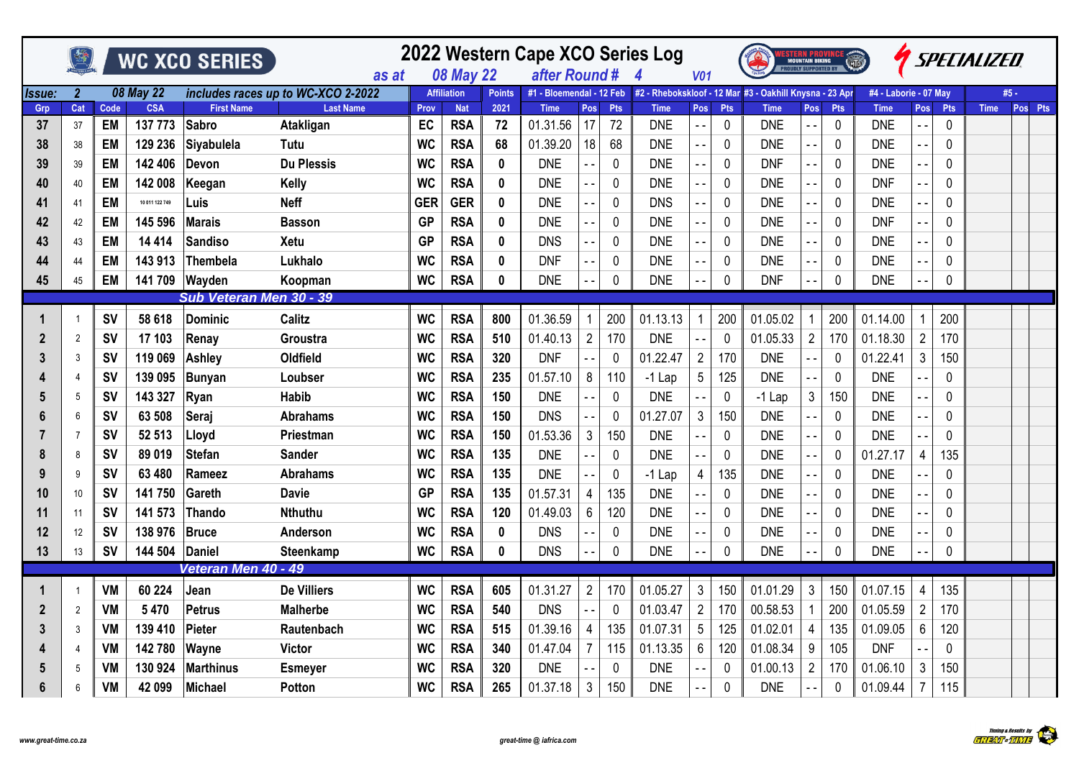|                      | <b>ASSES</b>   |           |                | WC XCO SERIES                      |                    |            |                    |                  | 2022 Western Cape XCO Series Log |                |              |                         |                          |              |                                                                                  | <b>MOUNTAIN BIKING</b>        |             |                       |                          |              | <i>SPECIALIZED</i> |         |
|----------------------|----------------|-----------|----------------|------------------------------------|--------------------|------------|--------------------|------------------|----------------------------------|----------------|--------------|-------------------------|--------------------------|--------------|----------------------------------------------------------------------------------|-------------------------------|-------------|-----------------------|--------------------------|--------------|--------------------|---------|
|                      |                |           |                |                                    | as at              |            | <b>08 May 22</b>   |                  | after Round #                    |                |              | $\overline{\mathbf{4}}$ | <b>V01</b>               |              |                                                                                  |                               |             |                       |                          |              |                    |         |
| <i><b>Issue:</b></i> | $\overline{2}$ |           | 08 May 22      | includes races up to WC-XCO 2-2022 |                    |            | <b>Affiliation</b> | <b>Points</b>    |                                  |                |              |                         |                          |              | #1 - Bloemendal - 12 Feb #2 - Rhebokskloof - 12 Mar #3 - Oakhill Knysna - 23 Apr |                               |             | #4 - Laborie - 07 May |                          |              | #5 -               |         |
| Grp                  | Cat            | Code      | <b>CSA</b>     | <b>First Name</b>                  | <b>Last Name</b>   | Prov       | <b>Nat</b>         | 2021             | <b>Time</b>                      | Pos            | Pts          | <b>Time</b>             | Pos                      | Pts          | <b>Time</b>                                                                      | Pos                           | Pts         | <b>Time</b>           | Pos                      | Pts          | <b>Time</b>        | Pos Pts |
| 37                   | 37             | <b>EM</b> | 137 773        | <b>Sabro</b>                       | Atakligan          | EC         | <b>RSA</b>         | 72               | 01.31.56                         | 17             | 72           | <b>DNE</b>              | $\overline{a}$           | $\mathbf 0$  | <b>DNE</b>                                                                       |                               | 0           | <b>DNE</b>            | $\overline{a}$           | $\mathbf 0$  |                    |         |
| 38                   | 38             | <b>EM</b> | 129 236        | Siyabulela<br>Tutu                 |                    | <b>WC</b>  | <b>RSA</b>         | 68               | 01.39.20                         | 18             | 68           | <b>DNE</b>              | $ -$                     | $\mathbf 0$  | <b>DNE</b>                                                                       | $ -$                          | $\mathbf 0$ | <b>DNE</b>            | $\overline{a}$ .         | $\mathbf 0$  |                    |         |
| 39                   | 39             | <b>EM</b> | 142 406        | <b>Devon</b>                       | <b>Du Plessis</b>  | <b>WC</b>  | <b>RSA</b>         | $\pmb{0}$        | <b>DNE</b>                       |                | $\pmb{0}$    | <b>DNE</b>              | $ -$                     | $\mathbf 0$  | <b>DNF</b>                                                                       | $\overline{\phantom{a}}$ .    | $\mathbf 0$ | <b>DNE</b>            | $\overline{a}$ .         | $\mathbf 0$  |                    |         |
| 40                   | 40             | <b>EM</b> | 142 008        | Keegan<br>Kelly                    |                    | <b>WC</b>  | <b>RSA</b>         | $\mathbf 0$      | <b>DNE</b>                       |                | $\mathbf 0$  | <b>DNE</b>              | $\overline{\phantom{a}}$ | $\mathbf 0$  | <b>DNE</b>                                                                       | $ -$                          | $\mathbf 0$ | <b>DNF</b>            | $\overline{\phantom{a}}$ | $\mathbf 0$  |                    |         |
| 41                   | 41             | EM        | 10 011 122 749 | Luis<br><b>Neff</b>                |                    | <b>GER</b> | <b>GER</b>         | $\pmb{0}$        | <b>DNE</b>                       |                | 0            | <b>DNS</b>              | $ -$                     | 0            | <b>DNE</b>                                                                       | $\overline{a}$                | 0           | <b>DNE</b>            | $ -$                     | 0            |                    |         |
| 42                   | 42             | <b>EM</b> | 145 596        | <b>Marais</b>                      | <b>Basson</b>      | <b>GP</b>  | <b>RSA</b>         | $\pmb{0}$        | <b>DNE</b>                       |                | 0            | <b>DNE</b>              | $ -$                     | 0            | <b>DNE</b>                                                                       | $ -$                          | 0           | <b>DNF</b>            | $\overline{\phantom{a}}$ | $\mathbf 0$  |                    |         |
| 43                   | 43             | <b>EM</b> | 14 4 14        | <b>Sandiso</b><br>Xetu             |                    | <b>GP</b>  | <b>RSA</b>         | $\mathbf 0$      | <b>DNS</b>                       |                | $\mathbf 0$  | <b>DNE</b>              | $ -$                     | $\mathbf{0}$ | <b>DNE</b>                                                                       |                               | $\mathbf 0$ | <b>DNE</b>            | $\overline{\phantom{a}}$ | $\mathbf{0}$ |                    |         |
| 44                   | 44             | <b>EM</b> | 143 913        | <b>Thembela</b>                    | Lukhalo            | <b>WC</b>  | <b>RSA</b>         | $\boldsymbol{0}$ | <b>DNF</b>                       |                | 0            | <b>DNE</b>              | $ -$                     | 0            | <b>DNE</b>                                                                       |                               | $\pmb{0}$   | <b>DNE</b>            |                          | $\mathbf 0$  |                    |         |
| 45                   | 45             | <b>EM</b> | 141 709        | Wayden                             | Koopman            | <b>WC</b>  | <b>RSA</b>         | $\pmb{0}$        | <b>DNE</b>                       |                | $\pmb{0}$    | <b>DNE</b>              |                          | 0            | <b>DNF</b>                                                                       |                               | $\pmb{0}$   | <b>DNE</b>            | $\overline{\phantom{a}}$ | $\pmb{0}$    |                    |         |
|                      |                |           |                | Sub Veteran Men 30 - 39            |                    |            |                    |                  |                                  |                |              |                         |                          |              |                                                                                  |                               |             |                       |                          |              |                    |         |
|                      |                | <b>SV</b> | 58 618         | <b>Dominic</b><br>Calitz           |                    | <b>WC</b>  | <b>RSA</b>         | 800              | 01.36.59                         |                | 200          | 01.13.13                |                          | 200          | 01.05.02                                                                         | -1                            | 200         | 01.14.00              |                          | 200          |                    |         |
| 2                    | $\overline{2}$ | <b>SV</b> | 17 103         | Renay                              | Groustra           | <b>WC</b>  | <b>RSA</b>         | 510              | 01.40.13                         | $\overline{2}$ | 170          | <b>DNE</b>              |                          | $\mathbf 0$  | 01.05.33                                                                         | $\overline{2}$                | 170         | 01.18.30              | $\overline{2}$           | 170          |                    |         |
| 3                    | 3              | <b>SV</b> | 119 069        | <b>Ashley</b>                      | <b>Oldfield</b>    | <b>WC</b>  | <b>RSA</b>         | 320              | <b>DNF</b>                       |                | $\mathbf{0}$ | 01.22.47                | $\overline{2}$           | 170          | <b>DNE</b>                                                                       | $\overline{a}$                | $\mathbf 0$ | 01.22.41              | 3                        | 150          |                    |         |
|                      |                | <b>SV</b> | 139 095        | Bunyan                             | Loubser            | <b>WC</b>  | <b>RSA</b>         | 235              | 01.57.10                         | $\bf 8$        | 110          | $-1$ Lap                | $\overline{5}$           | 125          | <b>DNE</b>                                                                       | $ -$                          | $\mathbf 0$ | <b>DNE</b>            |                          | $\mathbf 0$  |                    |         |
| 5                    | 5              | <b>SV</b> | 143 327        | Ryan<br><b>Habib</b>               |                    | <b>WC</b>  | <b>RSA</b>         | 150              | <b>DNE</b>                       |                | $\mathbf 0$  | <b>DNE</b>              |                          | $\mathbf{0}$ | $-1$ Lap                                                                         | $\mathbf{3}$                  | 150         | <b>DNE</b>            | $\overline{a}$           | $\mathbf 0$  |                    |         |
| 6                    | 6              | <b>SV</b> | 63 508         | Seraj                              | <b>Abrahams</b>    | <b>WC</b>  | <b>RSA</b>         | 150              | <b>DNS</b>                       |                | $\mathbf 0$  | 01.27.07                | $\mathbf{3}$             | 150          | <b>DNE</b>                                                                       | $\overline{a}$ $\overline{a}$ | $\mathbf 0$ | <b>DNE</b>            | $\overline{a}$           | 0            |                    |         |
|                      |                | <b>SV</b> | 52 513         | Lloyd                              | Priestman          | <b>WC</b>  | <b>RSA</b>         | 150              | 01.53.36                         | $\mathfrak{Z}$ | 150          | <b>DNE</b>              |                          | $\pmb{0}$    | <b>DNE</b>                                                                       | $-$                           | $\pmb{0}$   | <b>DNE</b>            | $\overline{\phantom{a}}$ | $\mathbf 0$  |                    |         |
| 8                    | 8              | <b>SV</b> | 89 019         | <b>Stefan</b><br><b>Sander</b>     |                    | <b>WC</b>  | <b>RSA</b>         | 135              | <b>DNE</b>                       |                | $\pmb{0}$    | <b>DNE</b>              | $ -$                     | $\mathbf 0$  | <b>DNE</b>                                                                       | $\overline{\phantom{a}}$ .    | $\mathbf 0$ | 01.27.17              | 4                        | 135          |                    |         |
| 9                    | 9              | <b>SV</b> | 63 480         | Rameez                             | <b>Abrahams</b>    | <b>WC</b>  | <b>RSA</b>         | 135              | <b>DNE</b>                       |                | $\mathbf 0$  | $-1$ Lap                | $\overline{4}$           | 135          | <b>DNE</b>                                                                       | $ -$                          | $\pmb{0}$   | <b>DNE</b>            | $\overline{\phantom{a}}$ | $\pmb{0}$    |                    |         |
| 10                   | 10             | <b>SV</b> | 141 750        | Gareth<br><b>Davie</b>             |                    | <b>GP</b>  | <b>RSA</b>         | 135              | 01.57.31                         | $\overline{4}$ | 135          | <b>DNE</b>              | $\overline{a}$           | $\mathbf 0$  | <b>DNE</b>                                                                       |                               | $\mathbf 0$ | <b>DNE</b>            |                          | $\mathbf 0$  |                    |         |
| 11                   | 11             | <b>SV</b> | 141 573        | <b>Thando</b>                      | <b>Nthuthu</b>     | <b>WC</b>  | <b>RSA</b>         | 120              | 01.49.03                         | $6\phantom{.}$ | 120          | <b>DNE</b>              |                          | 0            | <b>DNE</b>                                                                       |                               | 0           | <b>DNE</b>            | $\overline{a}$           | $\mathbf 0$  |                    |         |
| 12                   | 12             | <b>SV</b> | 138 976        | <b>Bruce</b>                       | Anderson           | <b>WC</b>  | <b>RSA</b>         | $\pmb{0}$        | <b>DNS</b>                       |                | $\pmb{0}$    | <b>DNE</b>              |                          | 0            | <b>DNE</b>                                                                       |                               | 0           | <b>DNE</b>            |                          | 0            |                    |         |
| 13                   | 13             | <b>SV</b> | 144 504        | Daniel                             | Steenkamp          | <b>WC</b>  | <b>RSA</b>         | $\mathbf 0$      | <b>DNS</b>                       |                | $\mathbf 0$  | <b>DNE</b>              |                          | $\mathbf 0$  | <b>DNE</b>                                                                       |                               | $\mathbf 0$ | <b>DNE</b>            |                          | $\mathbf 0$  |                    |         |
|                      |                |           |                | Veteran Men 40 - 49                |                    |            |                    |                  |                                  |                |              |                         |                          |              |                                                                                  |                               |             |                       |                          |              |                    |         |
|                      |                | <b>VM</b> | 60 224         | Jean                               | <b>De Villiers</b> | <b>WC</b>  | <b>RSA</b>         | 605              | 01.31.27                         | $\overline{2}$ | 170          | 01.05.27                | $\mathfrak{Z}$           | 150          | 01.01.29                                                                         | $\mathbf{3}$                  | 150         | 01.07.15              | $\overline{4}$           | 135          |                    |         |
| 2                    | 2              | <b>VM</b> | 5470           | <b>Petrus</b>                      | <b>Malherbe</b>    | <b>WC</b>  | <b>RSA</b>         | 540              | <b>DNS</b>                       |                | $\mathbf{0}$ | 01.03.47                | $\overline{2}$           | 170          | 00.58.53                                                                         | -1                            | 200         | 01.05.59              | $\overline{2}$           | 170          |                    |         |
| 3                    | 3              | <b>VM</b> | 139 410        | Pieter                             | Rautenbach         | <b>WC</b>  | <b>RSA</b>         | 515              | 01.39.16                         | $\overline{4}$ | 135          | 01.07.31                | $\overline{5}$           | 125          | 01.02.01                                                                         | $\overline{4}$                | 135         | 01.09.05              | $6\phantom{1}6$          | 120          |                    |         |
|                      |                | <b>VM</b> | 142 780        | Wayne<br><b>Victor</b>             |                    | <b>WC</b>  | <b>RSA</b>         | 340              | 01.47.04                         | $\overline{7}$ | 115          | 01.13.35                | 6                        | 120          | 01.08.34                                                                         | 9                             | 105         | <b>DNF</b>            |                          | $\mathbf 0$  |                    |         |
|                      | 5              | VM        | 130 924        | <b>Marthinus</b>                   | <b>Esmeyer</b>     | <b>WC</b>  | <b>RSA</b>         | 320              | <b>DNE</b>                       |                | $\mathbf 0$  | <b>DNE</b>              |                          | $\mathbf{0}$ | 01.00.13                                                                         | $\overline{2}$                | 170         | 01.06.10              | 3                        | 150          |                    |         |
| 6                    | 6              | <b>VM</b> | 42 099         | Michael<br>Potton                  |                    | <b>WC</b>  | <b>RSA</b>         | 265              | 01.37.18                         | $\mathbf{3}$   | 150          | <b>DNE</b>              |                          | $\Omega$     | <b>DNE</b>                                                                       |                               | $\mathbf 0$ | 01.09.44              | $\overline{7}$           | 115          |                    |         |

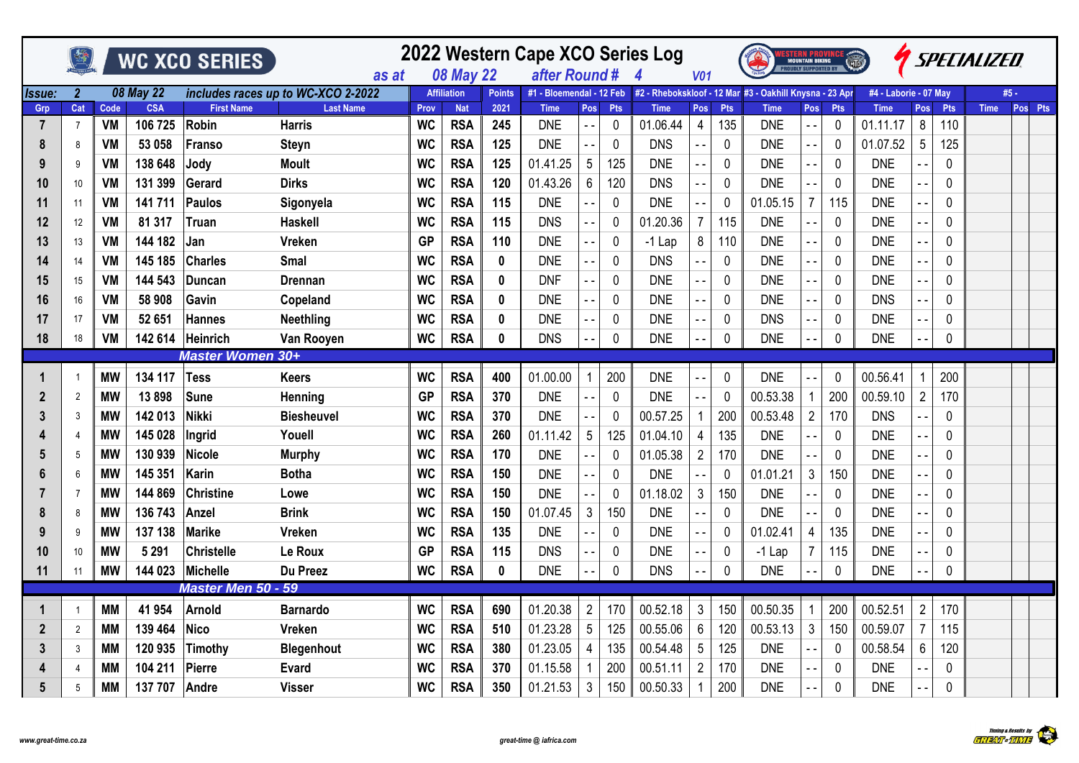|              |                 |           |            | WC XCO SERIES             | as at                              |           | <b>08 May 22</b>   |               | 2022 Western Cape XCO Series Log<br>after Round # |                |             | $\boldsymbol{\Lambda}$ | <b>V01</b>              |             | <b>VESTERN PROVING:</b><br>Mountain Biking<br>Proudly supported by |                          |            | $\binom{1}{10}$       |                          |              | <i>SPECIALIZED</i> |         |  |
|--------------|-----------------|-----------|------------|---------------------------|------------------------------------|-----------|--------------------|---------------|---------------------------------------------------|----------------|-------------|------------------------|-------------------------|-------------|--------------------------------------------------------------------|--------------------------|------------|-----------------------|--------------------------|--------------|--------------------|---------|--|
| Issue:       | $\overline{2}$  |           | 08 May 22  |                           | includes races up to WC-XCO 2-2022 |           | <b>Affiliation</b> | <b>Points</b> | #1 - Bloemendal - 12 Feb                          |                |             |                        |                         |             | #2 - Rhebokskloof - 12 Mar #3 - Oakhill Knysna - 23 Apr            |                          |            | #4 - Laborie - 07 Mav |                          |              | #5 -               |         |  |
| Grp          | Cat             | Code      | <b>CSA</b> | <b>First Name</b>         | <b>Last Name</b>                   | Prov      | <b>Nat</b>         | 2021          | <b>Time</b>                                       | Pos            | <b>Pts</b>  | <b>Time</b>            | <b>Pos</b>              | <b>Pts</b>  | <b>Time</b>                                                        | Pos                      | <b>Pts</b> | <b>Time</b>           | Pos                      | <b>Pts</b>   | <b>Time</b>        | Pos Pts |  |
| 7            | $\overline{7}$  | VM        | 106 725    | Robin                     | <b>Harris</b>                      | <b>WC</b> | <b>RSA</b>         | 245           | <b>DNE</b>                                        | $\sim$ $-$     | 0           | 01.06.44               | $\overline{\mathbf{4}}$ | 135         | <b>DNE</b>                                                         | $ -$                     | 0          | 01.11.17              | 8                        | 110          |                    |         |  |
| 8            | 8               | <b>VM</b> | 53 058     | Franso                    | <b>Steyn</b>                       | <b>WC</b> | <b>RSA</b>         | 125           | <b>DNE</b>                                        | $\sim$ $-$     | $\mathbf 0$ | <b>DNS</b>             |                         | 0           | <b>DNE</b>                                                         | $\overline{\phantom{a}}$ | 0          | 01.07.52              | 5                        | 125          |                    |         |  |
| 9            | 9               | VM        | 138 648    | Jody                      | <b>Moult</b>                       | <b>WC</b> | <b>RSA</b>         | 125           | 01.41.25                                          | 5              | 125         | <b>DNE</b>             |                         | 0           | <b>DNE</b>                                                         | $ -$                     | 0          | <b>DNE</b>            |                          | 0            |                    |         |  |
| 10           | 10 <sup>°</sup> | VM        | 131 399    | Gerard                    | <b>Dirks</b>                       | <b>WC</b> | <b>RSA</b>         | 120           | 01.43.26                                          | $6\phantom{.}$ | 120         | <b>DNS</b>             |                         | 0           | <b>DNE</b>                                                         |                          | 0          | <b>DNE</b>            |                          | $\Omega$     |                    |         |  |
| 11           | 11              | VM        | 141 711    | Paulos                    | Sigonyela                          | <b>WC</b> | <b>RSA</b>         | 115           | <b>DNE</b>                                        |                | $\mathbf 0$ | <b>DNE</b>             |                         | 0           | 01.05.15                                                           | $\overline{7}$           | 115        | <b>DNE</b>            |                          | 0            |                    |         |  |
| 12           | 12              | VM        | 81 317     | <b>Truan</b>              | <b>Haskell</b>                     | <b>WC</b> | <b>RSA</b>         | 115           | <b>DNS</b>                                        | $\sim$ $\sim$  | 0           | 01.20.36               | $\overline{7}$          | 115         | <b>DNE</b>                                                         |                          | 0          | <b>DNE</b>            |                          | $\Omega$     |                    |         |  |
| 13           | 13              | VM        | 144 182    | Jan                       | <b>Vreken</b>                      | <b>GP</b> | <b>RSA</b>         | 110           | <b>DNE</b>                                        | $\sim$ $\sim$  | 0           | $-1$ Lap               | 8                       | 110         | <b>DNE</b>                                                         |                          | 0          | <b>DNE</b>            |                          | $\Omega$     |                    |         |  |
| 14           | 14              | VM        | 145 185    | <b>Charles</b>            | <b>Smal</b>                        | <b>WC</b> | <b>RSA</b>         | $\mathbf 0$   | <b>DNE</b>                                        | $\sim$ $-$     | 0           | <b>DNS</b>             |                         | 0           | <b>DNE</b>                                                         |                          | 0          | <b>DNE</b>            | $ -$                     | $\Omega$     |                    |         |  |
| 15           | 15              | VM        | 144 543    | <b>Duncan</b>             | <b>Drennan</b>                     | <b>WC</b> | <b>RSA</b>         | $\mathbf 0$   | <b>DNF</b>                                        | $ -$           | 0           | <b>DNE</b>             |                         | 0           | <b>DNE</b>                                                         |                          | 0          | <b>DNE</b>            | $\overline{\phantom{a}}$ | 0            |                    |         |  |
| 16           | 16              | VM        | 58 908     | Gavin                     | Copeland                           | <b>WC</b> | <b>RSA</b>         | $\mathbf{0}$  | <b>DNE</b>                                        |                | 0           | <b>DNE</b>             |                         | 0           | <b>DNE</b>                                                         |                          | 0          | <b>DNS</b>            |                          | 0            |                    |         |  |
| 17           | 17              | VM        | 52 651     | Hannes                    | Neethling                          | <b>WC</b> | <b>RSA</b>         | 0             | <b>DNE</b>                                        |                | 0           | <b>DNE</b>             |                         | 0           | <b>DNS</b>                                                         |                          | 0          | <b>DNE</b>            |                          | $\mathbf{0}$ |                    |         |  |
| 18           | 18              | VM        | 142 614    | Heinrich                  | Van Rooyen                         | <b>WC</b> | <b>RSA</b>         | $\bf{0}$      | <b>DNS</b>                                        |                | 0           | <b>DNE</b>             |                         | 0           | <b>DNE</b>                                                         |                          | 0          | <b>DNE</b>            |                          | 0            |                    |         |  |
|              |                 |           |            | Master Women 30+          |                                    |           |                    |               |                                                   |                |             |                        |                         |             |                                                                    |                          |            |                       |                          |              |                    |         |  |
| 1            | $\mathbf{1}$    | <b>MW</b> | 134 117    | <b>Tess</b>               | <b>Keers</b>                       | <b>WC</b> | <b>RSA</b>         | 400           | 01.00.00                                          | $\mathbf{1}$   | 200         | <b>DNE</b>             |                         | $\mathbf 0$ | <b>DNE</b>                                                         |                          | 0          | 00.56.41              | $\mathbf 1$              | 200          |                    |         |  |
| $\mathbf{2}$ | 2               | <b>MW</b> | 13898      | <b>Sune</b>               | Henning                            | <b>GP</b> | <b>RSA</b>         | 370           | <b>DNE</b>                                        |                | $\mathbf 0$ | <b>DNE</b>             |                         | 0           | 00.53.38                                                           | $\mathbf 1$              | 200        | 00.59.10              | $\overline{2}$           | 170          |                    |         |  |
| 3            | 3               | <b>MW</b> | 142 013    | <b>Nikki</b>              | <b>Biesheuvel</b>                  | <b>WC</b> | <b>RSA</b>         | 370           | <b>DNE</b>                                        | $\sim$ $-$     | 0           | 00.57.25               |                         | 200         | 00.53.48                                                           | $\overline{2}$           | 170        | <b>DNS</b>            |                          | 0            |                    |         |  |
|              | 4               | <b>MW</b> | 145 028    | Ingrid                    | Youell                             | <b>WC</b> | <b>RSA</b>         | 260           | 01.11.42                                          | 5              | 125         | 01.04.10               | 4                       | 135         | <b>DNE</b>                                                         |                          | 0          | <b>DNE</b>            |                          | 0            |                    |         |  |
| 5            | 5               | <b>MW</b> | 130 939    | <b>Nicole</b>             | <b>Murphy</b>                      | <b>WC</b> | <b>RSA</b>         | 170           | <b>DNE</b>                                        | $\sim$ $-$     | 0           | 01.05.38               | $\overline{2}$          | 170         | <b>DNE</b>                                                         |                          | 0          | <b>DNE</b>            | $ -$                     | $\mathbf 0$  |                    |         |  |
|              | 6               | <b>MW</b> | 145 351    | <b>Karin</b>              | <b>Botha</b>                       | <b>WC</b> | <b>RSA</b>         | 150           | <b>DNE</b>                                        | $\sim$ $\sim$  | 0           | <b>DNE</b>             |                         | 0           | 01.01.21                                                           | $3\overline{3}$          | 150        | <b>DNE</b>            | $\overline{\phantom{a}}$ | $\Omega$     |                    |         |  |
|              | $\overline{7}$  | <b>MW</b> | 144 869    | <b>Christine</b>          | Lowe                               | <b>WC</b> | <b>RSA</b>         | 150           | <b>DNE</b>                                        |                | 0           | 01.18.02               | 3                       | 150         | <b>DNE</b>                                                         |                          | 0          | <b>DNE</b>            |                          | 0            |                    |         |  |
| 8            | 8               | <b>MW</b> | 136 743    | Anzel                     | <b>Brink</b>                       | <b>WC</b> | <b>RSA</b>         | 150           | 01.07.45                                          | 3              | 150         | <b>DNE</b>             |                         | 0           | <b>DNE</b>                                                         |                          | 0          | <b>DNE</b>            |                          | $\mathbf{0}$ |                    |         |  |
| 9            | 9               | <b>MW</b> | 137 138    | <b>Marike</b>             | Vreken                             | <b>WC</b> | <b>RSA</b>         | 135           | <b>DNE</b>                                        |                | $\mathbf 0$ | <b>DNE</b>             |                         | 0           | 01.02.41                                                           | 4                        | 135        | <b>DNE</b>            |                          | 0            |                    |         |  |
| 10           | 10              | <b>MW</b> | 5 2 9 1    | Christelle                | Le Roux                            | <b>GP</b> | <b>RSA</b>         | 115           | <b>DNS</b>                                        |                | 0           | <b>DNE</b>             |                         | 0           | $-1$ Lap                                                           |                          | 115        | <b>DNE</b>            |                          | 0            |                    |         |  |
| 11           | 11              | <b>MW</b> | 144 023    | <b>Michelle</b>           | Du Preez                           | <b>WC</b> | <b>RSA</b>         | $\mathbf{0}$  | <b>DNE</b>                                        |                | 0           | <b>DNS</b>             |                         | 0           | <b>DNE</b>                                                         |                          | 0          | <b>DNE</b>            |                          | 0            |                    |         |  |
|              |                 |           |            | <b>Master Men 50 - 59</b> |                                    |           |                    |               |                                                   |                |             |                        |                         |             |                                                                    |                          |            |                       |                          |              |                    |         |  |
| 1            | $\mathbf{1}$    | <b>MM</b> | 41 954     | <b>Arnold</b>             | <b>Barnardo</b>                    | <b>WC</b> | <b>RSA</b>         | 690           | 01.20.38                                          | 2 <sup>1</sup> | 170         | 00.52.18               | 3                       | 150         | 00.50.35                                                           | $\mathbf{1}$             | 200        | 00.52.51              | $2^{\circ}$              | 170          |                    |         |  |
| 2            | $\overline{2}$  | <b>MM</b> | 139 464    | <b>Nico</b>               | Vreken                             | <b>WC</b> | <b>RSA</b>         | 510           | 01.23.28                                          | 5              | 125         | 00.55.06               | 6                       | 120         | 00.53.13                                                           | 3                        | 150        | 00.59.07              | $\overline{7}$           | 115          |                    |         |  |
| 3            | 3               | MМ        | 120 935    | Timothy                   | <b>Blegenhout</b>                  | <b>WC</b> | <b>RSA</b>         | 380           | 01.23.05                                          | $\overline{4}$ | 135         | 00.54.48               | 5                       | 125         | <b>DNE</b>                                                         | $ -$                     | 0          | 00.58.54              | 6                        | 120          |                    |         |  |
| 4            | $\overline{4}$  | <b>MM</b> | 104 211    | Pierre                    | <b>Evard</b>                       | <b>WC</b> | <b>RSA</b>         | 370           | 01.15.58                                          |                | 200         | 00.51.11               | $\overline{2}$          | 170         | <b>DNE</b>                                                         |                          | 0          | <b>DNE</b>            |                          | 0            |                    |         |  |
| 5            | 5               | <b>MM</b> | 137 707    | Andre                     | <b>Visser</b>                      | <b>WC</b> | <b>RSA</b>         | 350           | 01.21.53                                          | $\mathfrak{Z}$ | 150         | 00.50.33               |                         | 200         | <b>DNE</b>                                                         |                          | 0          | <b>DNE</b>            |                          | 0            |                    |         |  |